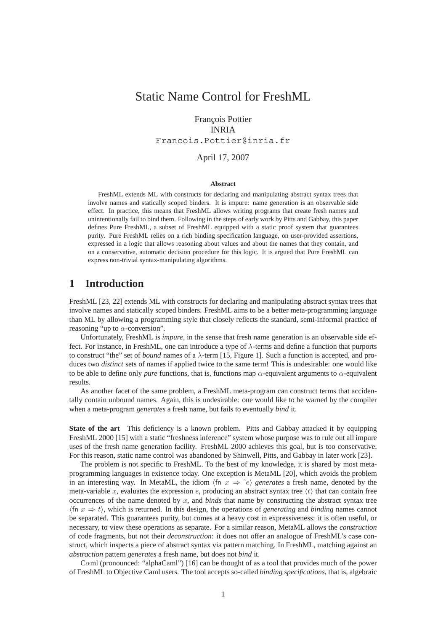# Static Name Control for FreshML

# François Pottier INRIA Francois.Pottier@inria.fr

#### April 17, 2007

#### **Abstract**

FreshML extends ML with constructs for declaring and manipulating abstract syntax trees that involve names and statically scoped binders. It is impure: name generation is an observable side effect. In practice, this means that FreshML allows writing programs that create fresh names and unintentionally fail to bind them. Following in the steps of early work by Pitts and Gabbay, this paper defines Pure FreshML, a subset of FreshML equipped with a static proof system that guarantees purity. Pure FreshML relies on a rich binding specification language, on user-provided assertions, expressed in a logic that allows reasoning about values and about the names that they contain, and on a conservative, automatic decision procedure for this logic. It is argued that Pure FreshML can express non-trivial syntax-manipulating algorithms.

# **1 Introduction**

FreshML [23, 22] extends ML with constructs for declaring and manipulating abstract syntax trees that involve names and statically scoped binders. FreshML aims to be a better meta-programming language than ML by allowing a programming style that closely reflects the standard, semi-informal practice of reasoning "up to  $\alpha$ -conversion".

Unfortunately, FreshML is *impure*, in the sense that fresh name generation is an observable side effect. For instance, in FreshML, one can introduce a type of  $\lambda$ -terms and define a function that purports to construct "the" set of *bound* names of a λ-term [15, Figure 1]. Such a function is accepted, and produces two *distinct* sets of names if applied twice to the same term! This is undesirable: one would like to be able to define only *pure* functions, that is, functions map  $\alpha$ -equivalent arguments to  $\alpha$ -equivalent results.

As another facet of the same problem, a FreshML meta-program can construct terms that accidentally contain unbound names. Again, this is undesirable: one would like to be warned by the compiler when a meta-program *generates* a fresh name, but fails to eventually *bind* it.

**State of the art** This deficiency is a known problem. Pitts and Gabbay attacked it by equipping FreshML 2000 [15] with a static "freshness inference" system whose purpose was to rule out all impure uses of the fresh name generation facility. FreshML 2000 achieves this goal, but is too conservative. For this reason, static name control was abandoned by Shinwell, Pitts, and Gabbay in later work [23].

The problem is not specific to FreshML. To the best of my knowledge, it is shared by most metaprogramming languages in existence today. One exception is MetaML [20], which avoids the problem in an interesting way. In MetaML, the idiom  $\langle \text{fn} \ x \Rightarrow \tilde{e} \rangle$  generates a fresh name, denoted by the meta-variable x, evaluates the expression e, producing an abstract syntax tree  $\langle t \rangle$  that can contain free occurrences of the name denoted by x, and *binds* that name by constructing the abstract syntax tree  $\{\text{fn } x \Rightarrow t\}$ , which is returned. In this design, the operations of *generating* and *binding* names cannot be separated. This guarantees purity, but comes at a heavy cost in expressiveness: it is often useful, or necessary, to view these operations as separate. For a similar reason, MetaML allows the *construction* of code fragments, but not their *deconstruction*: it does not offer an analogue of FreshML's case construct, which inspects a piece of abstract syntax via pattern matching. In FreshML, matching against an *abstraction* pattern *generates* a fresh name, but does not *bind* it.

Cαml (pronounced: "alphaCaml") [16] can be thought of as a tool that provides much of the power of FreshML to Objective Caml users. The tool accepts so-called *binding specifications*, that is, algebraic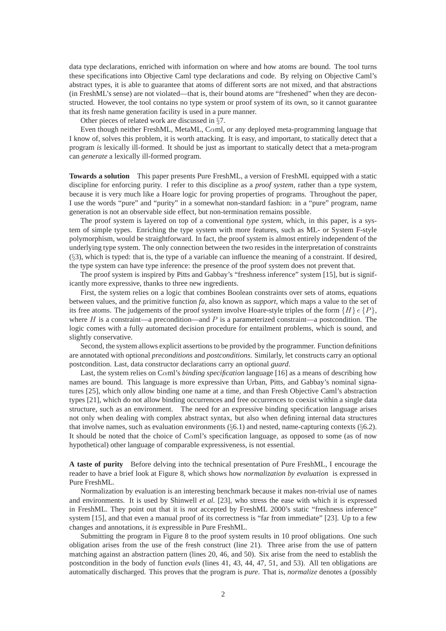data type declarations, enriched with information on where and how atoms are bound. The tool turns these specifications into Objective Caml type declarations and code. By relying on Objective Caml's abstract types, it is able to guarantee that atoms of different sorts are not mixed, and that abstractions (in FreshML's sense) are not violated—that is, their bound atoms are "freshened" when they are deconstructed. However, the tool contains no type system or proof system of its own, so it cannot guarantee that its fresh name generation facility is used in a pure manner.

Other pieces of related work are discussed in §7.

Even though neither FreshML, MetaML, Cαml, or any deployed meta-programming language that I know of, solves this problem, it is worth attacking. It is easy, and important, to statically detect that a program *is* lexically ill-formed. It should be just as important to statically detect that a meta-program can *generate* a lexically ill-formed program.

**Towards a solution** This paper presents Pure FreshML, a version of FreshML equipped with a static discipline for enforcing purity. I refer to this discipline as a *proof system*, rather than a type system, because it is very much like a Hoare logic for proving properties of programs. Throughout the paper, I use the words "pure" and "purity" in a somewhat non-standard fashion: in a "pure" program, name generation is not an observable side effect, but non-termination remains possible.

The proof system is layered on top of a conventional *type system*, which, in this paper, is a system of simple types. Enriching the type system with more features, such as ML- or System F-style polymorphism, would be straightforward. In fact, the proof system is almost entirely independent of the underlying type system. The only connection between the two resides in the interpretation of constraints (§3), which is typed: that is, the type of a variable can influence the meaning of a constraint. If desired, the type system can have type inference: the presence of the proof system does not prevent that.

The proof system is inspired by Pitts and Gabbay's "freshness inference" system [15], but is significantly more expressive, thanks to three new ingredients.

First, the system relies on a logic that combines Boolean constraints over sets of atoms, equations between values, and the primitive function *fa*, also known as *support*, which maps a value to the set of its free atoms. The judgements of the proof system involve Hoare-style triples of the form  $\{H\}e\{P\}$ , where H is a constraint—a precondition—and P is a parameterized constraint—a postcondition. The logic comes with a fully automated decision procedure for entailment problems, which is sound, and slightly conservative.

Second, the system allows explicit assertions to be provided by the programmer. Function definitions are annotated with optional *preconditions* and *postconditions*. Similarly, let constructs carry an optional postcondition. Last, data constructor declarations carry an optional *guard*.

Last, the system relies on Cαml's *binding specification* language [16] as a means of describing how names are bound. This language is more expressive than Urban, Pitts, and Gabbay's nominal signatures [25], which only allow binding one name at a time, and than Fresh Objective Caml's abstraction types [21], which do not allow binding occurrences and free occurrences to coexist within a single data structure, such as an environment. The need for an expressive binding specification language arises not only when dealing with complex abstract syntax, but also when defining internal data structures that involve names, such as evaluation environments ( $\S 6.1$ ) and nested, name-capturing contexts ( $\S 6.2$ ). It should be noted that the choice of C $\alpha$ ml's specification language, as opposed to some (as of now hypothetical) other language of comparable expressiveness, is not essential.

**A taste of purity** Before delving into the technical presentation of Pure FreshML, I encourage the reader to have a brief look at Figure 8, which shows how *normalization by evaluation* is expressed in Pure FreshML.

Normalization by evaluation is an interesting benchmark because it makes non-trivial use of names and environments. It is used by Shinwell *et al.* [23], who stress the ease with which it is expressed in FreshML. They point out that it is *not* accepted by FreshML 2000's static "freshness inference" system [15], and that even a manual proof of its correctness is "far from immediate" [23]. Up to a few changes and annotations, it *is* expressible in Pure FreshML.

Submitting the program in Figure 8 to the proof system results in 10 proof obligations. One such obligation arises from the use of the fresh construct (line 21). Three arise from the use of pattern matching against an abstraction pattern (lines 20, 46, and 50). Six arise from the need to establish the postcondition in the body of function *evals* (lines 41, 43, 44, 47, 51, and 53). All ten obligations are automatically discharged. This proves that the program is *pure*. That is, *normalize* denotes a (possibly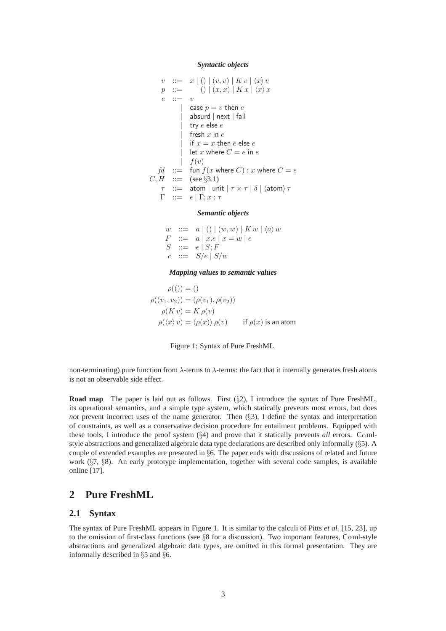#### *Syntactic objects*

$$
v ::= x | () | (v, v) | K v | \langle x \rangle v
$$
  
\n
$$
p ::= () | (x, x) | K x | \langle x \rangle x
$$
  
\n
$$
e ::= v
$$
  
\n
$$
| \text{ case } p = v \text{ then } e
$$
  
\n
$$
| \text{ absurd} | \text{ next} | \text{ fail}
$$
  
\n
$$
| \text{ try } e \text{ else } e
$$
  
\n
$$
| \text{ fresh } x \text{ in } e
$$
  
\n
$$
| \text{ if } x = x \text{ then } e \text{ else } e
$$
  
\n
$$
| \text{ let } x \text{ where } C = e \text{ in } e
$$
  
\n
$$
f(v)
$$
  
\n
$$
f d ::= \text{ fun } f(x \text{ where } C) : x \text{ where } C = e
$$
  
\n
$$
C, H ::= (\text{see §3.1})
$$
  
\n
$$
T ::= e | \Gamma; x : \tau
$$

#### *Semantic objects*

 $w := a | () | (w, w) | K w | \langle a \rangle w$  $F \ ::= \ a \mid x.e \mid x = w \mid e$  $S$  ::=  $\epsilon | S; F$  $c \ ::= S/e \mid S/w$ 

*Mapping values to semantic values*

$$
\rho(()) = ()
$$
  
\n
$$
\rho((v_1, v_2)) = (\rho(v_1), \rho(v_2))
$$
  
\n
$$
\rho(K v) = K \rho(v)
$$
  
\n
$$
\rho(\langle x \rangle v) = \langle \rho(x) \rangle \rho(v) \quad \text{if } \rho(x) \text{ is an atom}
$$



non-terminating) pure function from  $\lambda$ -terms to  $\lambda$ -terms: the fact that it internally generates fresh atoms is not an observable side effect.

**Road map** The paper is laid out as follows. First (§2), I introduce the syntax of Pure FreshML, its operational semantics, and a simple type system, which statically prevents most errors, but does *not* prevent incorrect uses of the name generator. Then (§3), I define the syntax and interpretation of constraints, as well as a conservative decision procedure for entailment problems. Equipped with these tools, I introduce the proof system (§4) and prove that it statically prevents *all* errors. Cαmlstyle abstractions and generalized algebraic data type declarations are described only informally (§5). A couple of extended examples are presented in §6. The paper ends with discussions of related and future work (§7, §8). An early prototype implementation, together with several code samples, is available online [17].

### **2 Pure FreshML**

### **2.1 Syntax**

The syntax of Pure FreshML appears in Figure 1. It is similar to the calculi of Pitts *et al.* [15, 23], up to the omission of first-class functions (see §8 for a discussion). Two important features, C $\alpha$ ml-style abstractions and generalized algebraic data types, are omitted in this formal presentation. They are informally described in §5 and §6.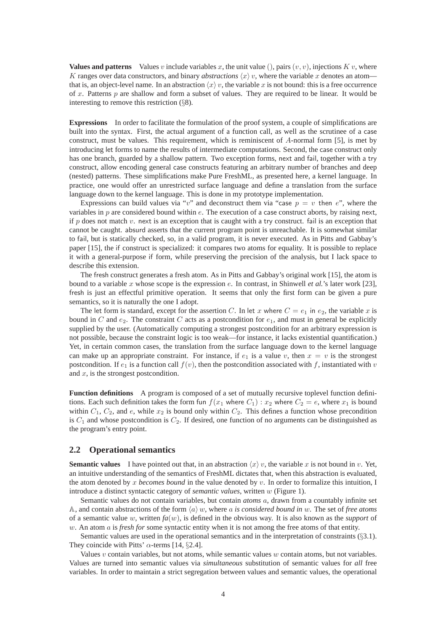**Values and patterns** Values v include variables x, the unit value (), pairs  $(v, v)$ , injections K v, where K ranges over data constructors, and binary *abstractions*  $\langle x \rangle$  v, where the variable x denotes an atom that is, an object-level name. In an abstraction  $\langle x \rangle v$ , the variable x is not bound: this is a free occurrence of x. Patterns  $p$  are shallow and form a subset of values. They are required to be linear. It would be interesting to remove this restriction (§8).

**Expressions** In order to facilitate the formulation of the proof system, a couple of simplifications are built into the syntax. First, the actual argument of a function call, as well as the scrutinee of a case construct, must be values. This requirement, which is reminiscent of A-normal form [5], is met by introducing let forms to name the results of intermediate computations. Second, the case construct only has one branch, guarded by a shallow pattern. Two exception forms, next and fail, together with a try construct, allow encoding general case constructs featuring an arbitrary number of branches and deep (nested) patterns. These simplifications make Pure FreshML, as presented here, a kernel language. In practice, one would offer an unrestricted surface language and define a translation from the surface language down to the kernel language. This is done in my prototype implementation.

Expressions can build values via "v" and deconstruct them via "case  $p = v$  then e", where the variables in  $p$  are considered bound within  $e$ . The execution of a case construct aborts, by raising next, if p does not match v. next is an exception that is caught with a try construct. fail is an exception that cannot be caught. absurd asserts that the current program point is unreachable. It is somewhat similar to fail, but is statically checked, so, in a valid program, it is never executed. As in Pitts and Gabbay's paper [15], the if construct is specialized: it compares two atoms for equality. It is possible to replace it with a general-purpose if form, while preserving the precision of the analysis, but I lack space to describe this extension.

The fresh construct generates a fresh atom. As in Pitts and Gabbay's original work [15], the atom is bound to a variable x whose scope is the expression e. In contrast, in Shinwell *et al.*'s later work [23], fresh is just an effectful primitive operation. It seems that only the first form can be given a pure semantics, so it is naturally the one I adopt.

The let form is standard, except for the assertion C. In let x where  $C = e_1$  in  $e_2$ , the variable x is bound in C and  $e_2$ . The constraint C acts as a postcondition for  $e_1$ , and must in general be explicitly supplied by the user. (Automatically computing a strongest postcondition for an arbitrary expression is not possible, because the constraint logic is too weak—for instance, it lacks existential quantification.) Yet, in certain common cases, the translation from the surface language down to the kernel language can make up an appropriate constraint. For instance, if  $e_1$  is a value v, then  $x = v$  is the strongest postcondition. If  $e_1$  is a function call  $f(v)$ , then the postcondition associated with f, instantiated with v and  $x$ , is the strongest postcondition.

**Function definitions** A program is composed of a set of mutually recursive toplevel function definitions. Each such definition takes the form fun  $f(x_1)$  where  $C_1$  :  $x_2$  where  $C_2 = e$ , where  $x_1$  is bound within  $C_1$ ,  $C_2$ , and e, while  $x_2$  is bound only within  $C_2$ . This defines a function whose precondition is  $C_1$  and whose postcondition is  $C_2$ . If desired, one function of no arguments can be distinguished as the program's entry point.

#### **2.2 Operational semantics**

**Semantic values** I have pointed out that, in an abstraction  $\langle x \rangle v$ , the variable x is not bound in v. Yet, an intuitive understanding of the semantics of FreshML dictates that, when this abstraction is evaluated, the atom denoted by x *becomes bound* in the value denoted by v. In order to formalize this intuition, I introduce a distinct syntactic category of *semantic values*, written w (Figure 1).

Semantic values do not contain variables, but contain *atoms* a, drawn from a countably infinite set A, and contain abstractions of the form  $\langle a \rangle w$ , where a *is considered bound in* w. The set of *free atoms* of a semantic value w, written  $fa(w)$ , is defined in the obvious way. It is also known as the *support* of w. An atom a is *fresh for* some syntactic entity when it is not among the free atoms of that entity.

Semantic values are used in the operational semantics and in the interpretation of constraints  $(\S3.1)$ . They coincide with Pitts'  $\alpha$ -terms [14, §2.4].

Values  $v$  contain variables, but not atoms, while semantic values  $w$  contain atoms, but not variables. Values are turned into semantic values via *simultaneous* substitution of semantic values for *all* free variables. In order to maintain a strict segregation between values and semantic values, the operational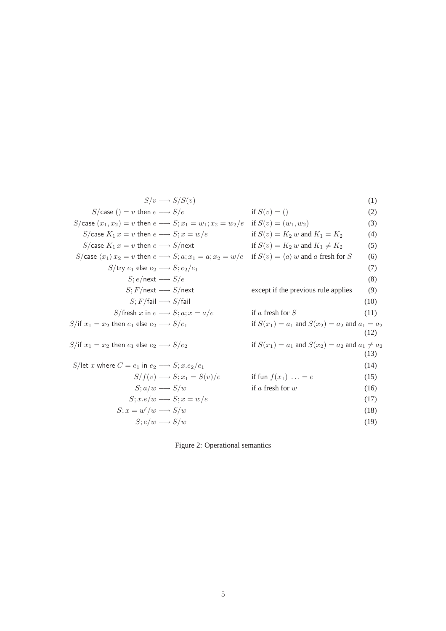$$
S/v \longrightarrow S/S(v)
$$
\n
$$
S/\text{case}(1) = v \text{ then } e \longrightarrow S/e
$$
\nif  $S(v) = (1)$ \n
$$
S/\text{case}(x_1, x_2) = v \text{ then } e \longrightarrow S; x_1 = w_1; x_2 = w_2/e
$$
 if  $S(v) = (w_1, w_2)$ \n
$$
S/\text{case } K_1 x = v \text{ then } e \longrightarrow S; x = w/e
$$
\nif  $S(v) = K_2 w$  and  $K_1 = K_2$ \n
$$
S/\text{case}(x_1) x_2 = v \text{ then } e \longrightarrow S/\text{next}
$$
\nif  $S(v) = K_2 w$  and  $K_1 \neq K_2$ \n
$$
S/\text{case}(x_1) x_2 = v \text{ then } e \longrightarrow S; a; x_1 = a; x_2 = w/e
$$
\nif  $S(v) = \langle a \rangle w$  and a fresh for  $S$ \n
$$
S/\text{true} = \langle s \rangle e
$$
\n
$$
S/\text{true} \longrightarrow S/\text{next}
$$
\n
$$
S/\text{first} \longrightarrow S/e
$$
\n
$$
S, F/\text{fail} \longrightarrow S/\text{fail}
$$
\n
$$
S/\text{first} \longrightarrow S/\text{real}
$$
\n
$$
S/\text{first} \longrightarrow S/\text{fail}
$$
\n
$$
S/\text{first} \longrightarrow S/\text{fail}
$$
\n
$$
S/\text{first} \longrightarrow S, a; x = a/e
$$
\nif a fresh for  $S$ \n
$$
S/\text{if } x_1 = x_2 \text{ then } e_1 \text{ else } e_2 \longrightarrow S/e_1
$$
\nif  $S(x_1) = a_1$  and  $S(x_2) = a_2$  and  $a_1 = a_2$ \n
$$
S/\text{let } x \text{ where } C = e_1 \text{ in } e_2 \longrightarrow S; x.e_2/e_1
$$
\n
$$
S/\text{let } x \text{ where } C = e_1 \text{ in } e_2 \longrightarrow S; x.e_2/e_1
$$
\n
$$
S, a/w \longrightarrow S/w
$$
\nif  $S(x_1) = a_1$  and  $S(x_2) = a_2$  and

Figure 2: Operational semantics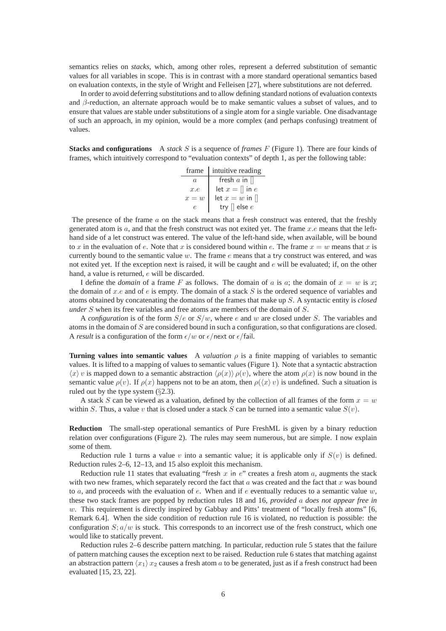semantics relies on *stacks*, which, among other roles, represent a deferred substitution of semantic values for all variables in scope. This is in contrast with a more standard operational semantics based on evaluation contexts, in the style of Wright and Felleisen [27], where substitutions are not deferred.

In order to avoid deferring substitutions and to allow defining standard notions of evaluation contexts and β-reduction, an alternate approach would be to make semantic values a subset of values, and to ensure that values are stable under substitutions of a single atom for a single variable. One disadvantage of such an approach, in my opinion, would be a more complex (and perhaps confusing) treatment of values.

**Stacks and configurations** A *stack* S is a sequence of *frames* F (Figure 1). There are four kinds of frames, which intuitively correspond to "evaluation contexts" of depth 1, as per the following table:

|          | frame   intuitive reading |
|----------|---------------------------|
| $\alpha$ | fresh $a$ in $\parallel$  |
| x.e      | let $x = \parallel$ in e  |
| $x=w$    | let $x = w$ in $\Box$     |
| P.       | try $\parallel$ else $e$  |

The presence of the frame  $a$  on the stack means that a fresh construct was entered, that the freshly generated atom is  $a$ , and that the fresh construct was not exited yet. The frame  $x.e$  means that the lefthand side of a let construct was entered. The value of the left-hand side, when available, will be bound to x in the evaluation of e. Note that x is considered bound within e. The frame  $x = w$  means that x is currently bound to the semantic value  $w$ . The frame  $e$  means that a try construct was entered, and was not exited yet. If the exception next is raised, it will be caught and  $e$  will be evaluated; if, on the other hand, a value is returned, e will be discarded.

I define the *domain* of a frame F as follows. The domain of a is a; the domain of  $x = w$  is x; the domain of x.e and of e is empty. The domain of a stack  $S$  is the ordered sequence of variables and atoms obtained by concatenating the domains of the frames that make up S. A syntactic entity is *closed under* S when its free variables and free atoms are members of the domain of S.

A *configuration* is of the form  $S/e$  or  $S/w$ , where e and w are closed under S. The variables and atoms in the domain of S are considered bound in such a configuration, so that configurations are closed. A *result* is a configuration of the form  $\epsilon/w$  or  $\epsilon$ /next or  $\epsilon$ /fail.

**Turning values into semantic values** A *valuation*  $\rho$  is a finite mapping of variables to semantic values. It is lifted to a mapping of values to semantic values (Figure 1). Note that a syntactic abstraction  $\langle x \rangle$  v is mapped down to a semantic abstraction  $\langle \rho(x) \rangle \rho(v)$ , where the atom  $\rho(x)$  is now bound in the semantic value  $\rho(v)$ . If  $\rho(x)$  happens not to be an atom, then  $\rho(\langle x \rangle v)$  is undefined. Such a situation is ruled out by the type system (§2.3).

A stack S can be viewed as a valuation, defined by the collection of all frames of the form  $x = w$ within S. Thus, a value v that is closed under a stack S can be turned into a semantic value  $S(v)$ .

**Reduction** The small-step operational semantics of Pure FreshML is given by a binary reduction relation over configurations (Figure 2). The rules may seem numerous, but are simple. I now explain some of them.

Reduction rule 1 turns a value v into a semantic value; it is applicable only if  $S(v)$  is defined. Reduction rules 2–6, 12–13, and 15 also exploit this mechanism.

Reduction rule 11 states that evaluating "fresh  $x$  in  $e$ " creates a fresh atom  $a$ , augments the stack with two new frames, which separately record the fact that  $a$  was created and the fact that  $x$  was bound to a, and proceeds with the evaluation of  $e$ . When and if  $e$  eventually reduces to a semantic value  $w$ , these two stack frames are popped by reduction rules 18 and 16, *provided* a *does not appear free in* w. This requirement is directly inspired by Gabbay and Pitts' treatment of "locally fresh atoms" [6, Remark 6.4]. When the side condition of reduction rule 16 is violated, no reduction is possible: the configuration  $S$ ;  $a/w$  is stuck. This corresponds to an incorrect use of the fresh construct, which one would like to statically prevent.

Reduction rules 2–6 describe pattern matching. In particular, reduction rule 5 states that the failure of pattern matching causes the exception next to be raised. Reduction rule 6 states that matching against an abstraction pattern  $\langle x_1 \rangle x_2$  causes a fresh atom a to be generated, just as if a fresh construct had been evaluated [15, 23, 22].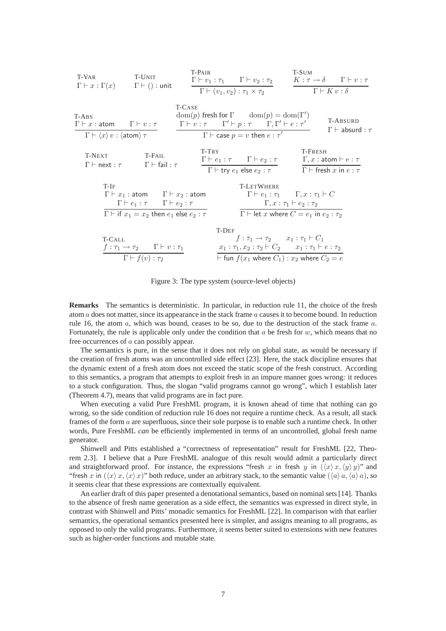

Figure 3: The type system (source-level objects)

**Remarks** The semantics is deterministic. In particular, in reduction rule 11, the choice of the fresh atom  $a$  does not matter, since its appearance in the stack frame  $a$  causes it to become bound. In reduction rule 16, the atom  $a$ , which was bound, ceases to be so, due to the destruction of the stack frame  $a$ . Fortunately, the rule is applicable only under the condition that  $a$  be fresh for  $w$ , which means that no free occurrences of a can possibly appear.

The semantics is pure, in the sense that it does not rely on global state, as would be necessary if the creation of fresh atoms was an uncontrolled side effect [23]. Here, the stack discipline ensures that the dynamic extent of a fresh atom does not exceed the static scope of the fresh construct. According to this semantics, a program that attempts to exploit fresh in an impure manner goes wrong: it reduces to a stuck configuration. Thus, the slogan "valid programs cannot go wrong", which I establish later (Theorem 4.7), means that valid programs are in fact pure.

When executing a valid Pure FreshML program, it is known ahead of time that nothing can go wrong, so the side condition of reduction rule 16 does not require a runtime check. As a result, all stack frames of the form a are superfluous, since their sole purpose is to enable such a runtime check. In other words, Pure FreshML *can* be efficiently implemented in terms of an uncontrolled, global fresh name generator.

Shinwell and Pitts established a "correctness of representation" result for FreshML [22, Theorem 2.3]. I believe that a Pure FreshML analogue of this result would admit a particularly direct and straightforward proof. For instance, the expressions "fresh x in fresh y in  $(\langle x \rangle x, \langle y \rangle y)$ " and "fresh x in  $(\langle x\rangle x, \langle x\rangle x)$ " both reduce, under an arbitrary stack, to the semantic value  $(\langle a\rangle a, \langle a\rangle a)$ , so it seems clear that these expressions are contextually equivalent.

An earlier draft of this paper presented a denotational semantics, based on nominal sets [14]. Thanks to the absence of fresh name generation as a side effect, the semantics was expressed in direct style, in contrast with Shinwell and Pitts' monadic semantics for FreshML [22]. In comparison with that earlier semantics, the operational semantics presented here is simpler, and assigns meaning to all programs, as opposed to only the valid programs. Furthermore, it seems better suited to extensions with new features such as higher-order functions and mutable state.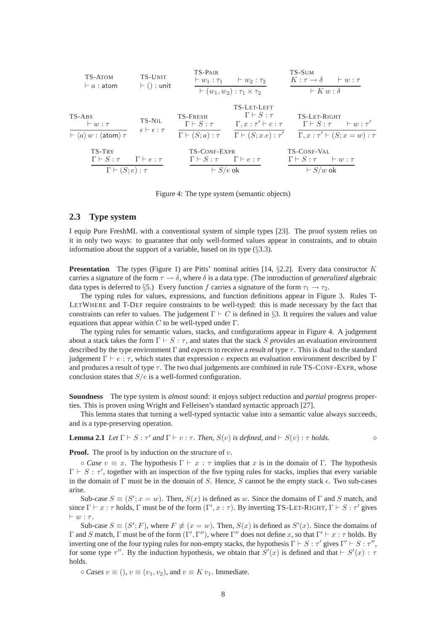

Figure 4: The type system (semantic objects)

#### **2.3 Type system**

I equip Pure FreshML with a conventional system of simple types [23]. The proof system relies on it in only two ways: to guarantee that only well-formed values appear in constraints, and to obtain information about the support of a variable, based on its type  $(\S 3.3)$ .

**Presentation** The types (Figure 1) are Pitts' nominal arities [14, §2.2]. Every data constructor K carries a signature of the form  $\tau \to \delta$ , where  $\delta$  is a data type. (The introduction of *generalized* algebraic data types is deferred to §5.) Every function f carries a signature of the form  $\tau_1 \rightarrow \tau_2$ .

The typing rules for values, expressions, and function definitions appear in Figure 3. Rules T-LETWHERE and T-DEF require constraints to be well-typed: this is made necessary by the fact that constraints can refer to values. The judgement  $\Gamma \vdash C$  is defined in §3. It requires the values and value equations that appear within C to be well-typed under  $\Gamma$ .

The typing rules for semantic values, stacks, and configurations appear in Figure 4. A judgement about a stack takes the form  $\Gamma \vdash S : \tau$ , and states that the stack S *provides* an evaluation environment described by the type environment Γ and *expects* to receive a result of type τ. This is dual to the standard judgement  $\Gamma \vdash e : \tau$ , which states that expression e expects an evaluation environment described by  $\Gamma$ and produces a result of type  $\tau$ . The two dual judgements are combined in rule TS-CONF-EXPR, whose conclusion states that  $S/e$  is a well-formed configuration.

**Soundness** The type system is *almost* sound: it enjoys subject reduction and *partial* progress properties. This is proven using Wright and Felleisen's standard syntactic approach [27].

This lemma states that turning a well-typed syntactic value into a semantic value always succeeds, and is a type-preserving operation.

**Lemma 2.1** *Let*  $\Gamma \vdash S : \tau'$  *and*  $\Gamma \vdash v : \tau$ . *Then,*  $S(v)$  *is defined, and*  $\vdash S(v) : \tau$  *holds.*  $\diamond$ 

**Proof.** The proof is by induction on the structure of  $v$ .

 $\circ$  *Case*  $v \equiv x$ . The hypothesis  $\Gamma \vdash x : \tau$  implies that x is in the domain of  $\Gamma$ . The hypothesis  $\Gamma \vdash S : \tau'$ , together with an inspection of the five typing rules for stacks, implies that every variable in the domain of  $\Gamma$  must be in the domain of S. Hence, S cannot be the empty stack  $\epsilon$ . Two sub-cases arise.

Sub-case  $S \equiv (S'; x = w)$ . Then,  $S(x)$  is defined as w. Since the domains of  $\Gamma$  and  $S$  match, and since  $\Gamma \vdash x : \tau$  holds,  $\Gamma$  must be of the form  $(\Gamma', x : \tau)$ . By inverting TS-LET-RIGHT,  $\Gamma \vdash S : \tau'$  gives  $\vdash w : \tau$ .

Sub-case  $S \equiv (S';F)$ , where  $F \not\equiv (x = w)$ . Then,  $S(x)$  is defined as  $S'(x)$ . Since the domains of Γ and S match, Γ must be of the form  $(Γ', Γ'')$ , where Γ'' does not define x, so that  $Γ' \vdash x : τ$  holds. By inverting one of the four typing rules for non-empty stacks, the hypothesis  $\Gamma \vdash S : \tau'$  gives  $\Gamma' \vdash S : \tau''$ , for some type  $\tau''$ . By the induction hypothesis, we obtain that  $S'(x)$  is defined and that  $\vdash S'(x)$ :  $\tau$ holds.

 $\circ$  *Cases*  $v \equiv (v_1, v_2)$ , and  $v \equiv K v_1$ . Immediate.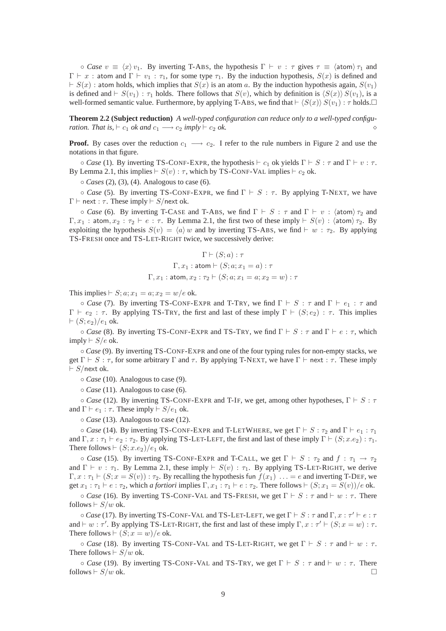$\circ$  *Case*  $v \equiv \langle x \rangle v_1$ . By inverting T-ABS, the hypothesis  $\Gamma \vdash v : \tau$  gives  $\tau \equiv \langle \text{atom} \rangle \tau_1$  and  $\Gamma \vdash x$ : atom and  $\Gamma \vdash v_1 : \tau_1$ , for some type  $\tau_1$ . By the induction hypothesis,  $S(x)$  is defined and  $\vdash S(x)$ : atom holds, which implies that  $S(x)$  is an atom a. By the induction hypothesis again,  $S(v_1)$ is defined and  $\vdash S(v_1) : \tau_1$  holds. There follows that  $S(v)$ , which by definition is  $\langle S(x) \rangle S(v_1)$ , is a well-formed semantic value. Furthermore, by applying T-ABS, we find that  $\vdash \langle S(x) \rangle S(v_1) : \tau$  holds. □

**Theorem 2.2 (Subject reduction)** *A well-typed configuration can reduce only to a well-typed configuration. That is,*  $\vdash$  *c*<sub>1</sub> *ok and c*<sub>1</sub>  $\longrightarrow$  *c*<sub>2</sub> *imply*  $\vdash$  *c*<sub>2</sub> *ok.* 

**Proof.** By cases over the reduction  $c_1 \rightarrow c_2$ . I refer to the rule numbers in Figure 2 and use the notations in that figure.

 $\circ$  *Case* (1). By inverting TS-CONF-EXPR, the hypothesis  $\vdash$  c<sub>1</sub> ok yields  $\Gamma \vdash S : \tau$  and  $\Gamma \vdash v : \tau$ . By Lemma 2.1, this implies  $\vdash S(v) : \tau$ , which by TS-CONF-VAL implies  $\vdash c_2$  ok.

◦ *Cases* (2), (3), (4). Analogous to case (6).

 $\circ$  *Case* (5). By inverting TS-CONF-EXPR, we find  $\Gamma \vdash S : \tau$ . By applying T-NEXT, we have  $\Gamma \vdash$  next :  $\tau$ . These imply  $\vdash S$ /next ok.

 $\circ$  *Case* (6). By inverting T-CASE and T-ABS, we find  $\Gamma \vdash S : \tau$  and  $\Gamma \vdash v : \langle \text{atom} \rangle \tau_2$  and  $\Gamma, x_1 : \text{atom}, x_2 : \tau_2 \vdash e : \tau$ . By Lemma 2.1, the first two of these imply  $\vdash S(v) : \text{atom} \rangle \tau_2$ . By exploiting the hypothesis  $S(v) = \langle a \rangle w$  and by inverting TS-ABS, we find  $\vdash w : \tau_2$ . By applying TS-FRESH once and TS-LET-RIGHT twice, we successively derive:

$$
\Gamma \vdash (S; a) : \tau
$$

$$
\Gamma, x_1 : \text{atom} \vdash (S; a; x_1 = a) : \tau
$$

$$
\Gamma, x_1 : \text{atom}, x_2 : \tau_2 \vdash (S; a; x_1 = a; x_2 = w) : \tau
$$

This implies  $\vdash S; a; x_1 = a; x_2 = w/e$  ok.

 $\circ$  *Case* (7). By inverting TS-CONF-EXPR and T-TRY, we find  $\Gamma \vdash S : \tau$  and  $\Gamma \vdash e_1 : \tau$  and  $\Gamma \vdash e_2 : \tau$ . By applying TS-TRY, the first and last of these imply  $\Gamma \vdash (S; e_2) : \tau$ . This implies  $\vdash (S; e_2)/e_1$  ok.

◦ *Case* (8). By inverting TS-CONF-EXPR and TS-TRY, we find Γ ⊢ S : τ and Γ ⊢ e : τ, which imply  $\vdash$  S/e ok.

◦ *Case* (9). By inverting TS-CONF-EXPR and one of the four typing rules for non-empty stacks, we get  $\Gamma \vdash S : \tau$ , for some arbitrary  $\Gamma$  and  $\tau$ . By applying T-NEXT, we have  $\Gamma \vdash$  next :  $\tau$ . These imply  $\vdash S/\mathsf{next}$ ok.

◦ *Case* (10). Analogous to case (9).

◦ *Case* (11). Analogous to case (6).

 $\circ$  *Case* (12). By inverting TS-CONF-EXPR and T-IF, we get, among other hypotheses,  $\Gamma \vdash S : \tau$ and  $\Gamma \vdash e_1 : \tau$ . These imply  $\vdash S/e_1$  ok.

◦ *Case* (13). Analogous to case (12).

 $\circ$  *Case* (14). By inverting TS-CONF-EXPR and T-LETWHERE, we get  $\Gamma \vdash S : \tau_2$  and  $\Gamma \vdash e_1 : \tau_1$ and  $\Gamma, x : \tau_1 \vdash e_2 : \tau_2$ . By applying TS-LET-LEFT, the first and last of these imply  $\Gamma \vdash (S; x.e_2) : \tau_1$ . There follows  $\vdash (S; x.e_2)/e_1$  ok.

 $\circ$  *Case* (15). By inverting TS-CONF-EXPR and T-CALL, we get  $\Gamma \vdash S : \tau_2$  and  $f : \tau_1 \rightarrow \tau_2$ and  $\Gamma \vdash v : \tau_1$ . By Lemma 2.1, these imply  $\vdash S(v) : \tau_1$ . By applying TS-LET-RIGHT, we derive  $\Gamma, x : \tau_1 \vdash (S; x = S(v)) : \tau_2$ . By recalling the hypothesis fun  $f(x_1) \ldots = e$  and inverting T-DEF, we get  $x_1 : \tau_1 \vdash e : \tau_2$ , which *a fortiori* implies  $\Gamma, x_1 : \tau_1 \vdash e : \tau_2$ . There follows  $\vdash (S; x_1 = S(v))/e$  ok.

 $\circ$  *Case* (16). By inverting TS-CONF-VAL and TS-FRESH, we get  $\Gamma \vdash S : \tau$  and  $\vdash w : \tau$ . There follows  $\vdash S/w$  ok.

 $\circ$  *Case* (17). By inverting TS-CONF-VAL and TS-LET-LEFT, we get  $\Gamma \vdash S : \tau$  and  $\Gamma, x : \tau' \vdash e : \tau$ and  $\vdash w : \tau'$ . By applying TS-LET-RIGHT, the first and last of these imply  $\Gamma, x : \tau' \vdash (S; x = w) : \tau$ . There follows  $\vdash (S; x = w)/e$  ok.

 $\circ$  *Case* (18). By inverting TS-CONF-VAL and TS-LET-RIGHT, we get  $\Gamma \vdash S : \tau$  and  $\vdash w : \tau$ . There follows  $\vdash S/w$  ok.

 $\circ$  *Case* (19). By inverting TS-CONF-VAL and TS-TRY, we get  $\Gamma \vdash S : \tau$  and  $\vdash w : \tau$ . There follows  $\vdash S/w$  ok.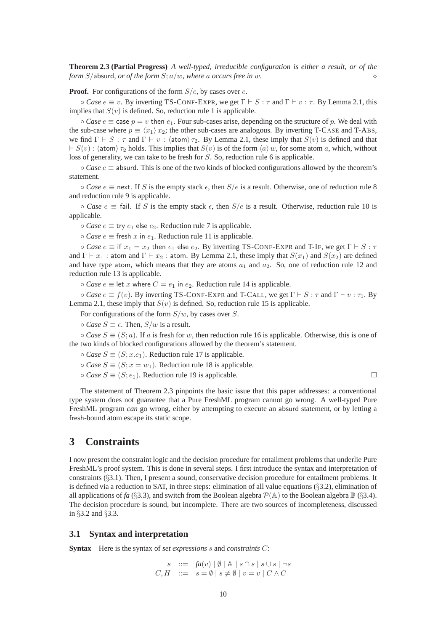**Theorem 2.3 (Partial Progress)** *A well-typed, irreducible configuration is either a result, or of the form*  $S$ /absurd, *or of the form*  $S$ ;  $a/w$ *, where a occurs free in w.* 

**Proof.** For configurations of the form  $S/e$ , by cases over e.

 $\circ$  *Case*  $e \equiv v$ . By inverting TS-CONF-EXPR, we get  $\Gamma \vdash S : \tau$  and  $\Gamma \vdash v : \tau$ . By Lemma 2.1, this implies that  $S(v)$  is defined. So, reduction rule 1 is applicable.

 $\circ$  *Case*  $e \equiv$  case  $p = v$  then  $e_1$ . Four sub-cases arise, depending on the structure of p. We deal with the sub-case where  $p \equiv \langle x_1 \rangle x_2$ ; the other sub-cases are analogous. By inverting T-CASE and T-ABS, we find  $\Gamma \vdash S : \tau$  and  $\Gamma \vdash v : \langle \text{atom} \rangle \tau_2$ . By Lemma 2.1, these imply that  $S(v)$  is defined and that  $\vdash S(v)$ :  $\langle \text{atom} \rangle \tau_2$  holds. This implies that  $S(v)$  is of the form  $\langle a \rangle w$ , for some atom a, which, without loss of generality, we can take to be fresh for S. So, reduction rule 6 is applicable.

◦ *Case* e ≡ absurd. This is one of the two kinds of blocked configurations allowed by the theorem's statement.

 $\circ$  *Case*  $e \equiv$  next. If S is the empty stack  $\epsilon$ , then  $S/e$  is a result. Otherwise, one of reduction rule 8 and reduction rule 9 is applicable.

 $\circ$  *Case*  $e \equiv$  fail. If S is the empty stack  $\epsilon$ , then  $S/e$  is a result. Otherwise, reduction rule 10 is applicable.

 $\circ$  *Case*  $e \equiv$  try  $e_1$  else  $e_2$ . Reduction rule 7 is applicable.

 $\circ$  *Case*  $e \equiv$  fresh x in  $e_1$ . Reduction rule 11 is applicable.

 $\circ$  *Case*  $e \equiv$  if  $x_1 = x_2$  then  $e_1$  else  $e_2$ . By inverting TS-CONF-EXPR and T-IF, we get  $\Gamma \vdash S : \tau$ and  $\Gamma \vdash x_1$ : atom and  $\Gamma \vdash x_2$ : atom. By Lemma 2.1, these imply that  $S(x_1)$  and  $S(x_2)$  are defined and have type atom, which means that they are atoms  $a_1$  and  $a_2$ . So, one of reduction rule 12 and reduction rule 13 is applicable.

 $\circ$  *Case*  $e \equiv$  let x where  $C = e_1$  in  $e_2$ . Reduction rule 14 is applicable.

 $\circ$  *Case*  $e \equiv f(v)$ . By inverting TS-CONF-EXPR and T-CALL, we get  $\Gamma \vdash S : \tau$  and  $\Gamma \vdash v : \tau_1$ . By Lemma 2.1, these imply that  $S(v)$  is defined. So, reduction rule 15 is applicable.

For configurations of the form  $S/w$ , by cases over S.

 $\circ$  *Case*  $S \equiv \epsilon$ . Then,  $S/w$  is a result.

 $\circ$  *Case*  $S \equiv (S; a)$ . If a is fresh for w, then reduction rule 16 is applicable. Otherwise, this is one of the two kinds of blocked configurations allowed by the theorem's statement.

- $\circ$  *Case*  $S \equiv (S; x.e<sub>1</sub>)$ . Reduction rule 17 is applicable.
- $\circ$  *Case*  $S \equiv (S; x = w_1)$ . Reduction rule 18 is applicable.
- *Case*  $S \equiv (S; e_1)$ . Reduction rule 19 is applicable.  $□$

The statement of Theorem 2.3 pinpoints the basic issue that this paper addresses: a conventional type system does not guarantee that a Pure FreshML program cannot go wrong. A well-typed Pure FreshML program *can* go wrong, either by attempting to execute an absurd statement, or by letting a fresh-bound atom escape its static scope.

# **3 Constraints**

I now present the constraint logic and the decision procedure for entailment problems that underlie Pure FreshML's proof system. This is done in several steps. I first introduce the syntax and interpretation of constraints (§3.1). Then, I present a sound, conservative decision procedure for entailment problems. It is defined via a reduction to SAT, in three steps: elimination of all value equations (§3.2), elimination of all applications of *fa* (§3.3), and switch from the Boolean algebra  $\mathcal{P}(\mathbb{A})$  to the Boolean algebra  $\mathbb{B}$  (§3.4). The decision procedure is sound, but incomplete. There are two sources of incompleteness, discussed in §3.2 and §3.3.

#### **3.1 Syntax and interpretation**

**Syntax** Here is the syntax of *set expressions* s and *constraints* C:

$$
s ::= fa(v) | \emptyset | \mathbb{A} | s \cap s | s \cup s | \neg s
$$
  

$$
C, H ::= s = \emptyset | s \neq \emptyset | v = v | C \land C
$$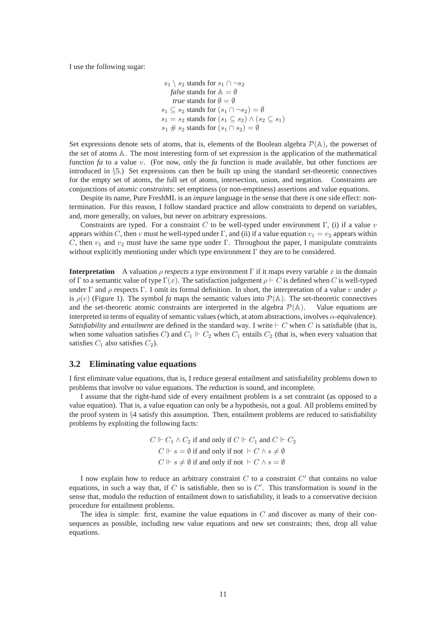I use the following sugar:

$$
s_1 \setminus s_2
$$
 stands for  $s_1 \cap \neg s_2$   
\n
$$
false
$$
 stands for  $\mathbb{A} = \emptyset$   
\n
$$
true
$$
 stands for  $\emptyset = \emptyset$   
\n
$$
s_1 \subseteq s_2
$$
 stands for  $(s_1 \cap \neg s_2) = \emptyset$   
\n
$$
s_1 = s_2
$$
 stands for  $(s_1 \subseteq s_2) \land (s_2 \subseteq s_1)$   
\n
$$
s_1 \# s_2
$$
 stands for  $(s_1 \cap s_2) = \emptyset$ 

Set expressions denote sets of atoms, that is, elements of the Boolean algebra  $\mathcal{P}(\mathbb{A})$ , the powerset of the set of atoms A. The most interesting form of set expression is the application of the mathematical function *fa* to a value v. (For now, only the *fa* function is made available, but other functions are introduced in §5.) Set expressions can then be built up using the standard set-theoretic connectives for the empty set of atoms, the full set of atoms, intersection, union, and negation. Constraints are conjunctions of *atomic constraints*: set emptiness (or non-emptiness) assertions and value equations.

Despite its name, Pure FreshML is an *impure* language in the sense that there *is* one side effect: nontermination. For this reason, I follow standard practice and allow constraints to depend on variables, and, more generally, on values, but never on arbitrary expressions.

Constraints are typed. For a constraint C to be well-typed under environment  $\Gamma$ , (i) if a value v appears within C, then v must be well-typed under Γ, and (ii) if a value equation  $v_1 = v_2$  appears within C, then  $v_1$  and  $v_2$  must have the same type under Γ. Throughout the paper, I manipulate constraints without explicitly mentioning under which type environment  $\Gamma$  they are to be considered.

**Interpretation** A valuation *ρ respects* a type environment  $\Gamma$  if it maps every variable x in the domain of Γ to a semantic value of type  $\Gamma(x)$ . The satisfaction judgement  $\rho \vdash C$  is defined when C is well-typed under Γ and  $\rho$  respects Γ. I omit its formal definition. In short, the interpretation of a value v under  $\rho$ is  $\rho(v)$  (Figure 1). The symbol *fa* maps the semantic values into  $\mathcal{P}(\mathbb{A})$ . The set-theoretic connectives and the set-theoretic atomic constraints are interpreted in the algebra  $\mathcal{P}(\mathbb{A})$ . Value equations are interpreted in terms of equality of semantic values (which, at atom abstractions, involves α-equivalence). *Satisfiability* and *entailment* are defined in the standard way. I write ⊢ C when C is satisfiable (that is, when some valuation satisfies C) and  $C_1 \Vdash C_2$  when  $C_1$  entails  $C_2$  (that is, when every valuation that satisfies  $C_1$  also satisfies  $C_2$ ).

### **3.2 Eliminating value equations**

I first eliminate value equations, that is, I reduce general entailment and satisfiability problems down to problems that involve no value equations. The reduction is sound, and incomplete.

I assume that the right-hand side of every entailment problem is a set constraint (as opposed to a value equation). That is, a value equation can only be a hypothesis, not a goal. All problems emitted by the proof system in §4 satisfy this assumption. Then, entailment problems are reduced to satisfiability problems by exploiting the following facts:

$$
C \Vdash C_1 \wedge C_2 \text{ if and only if } C \Vdash C_1 \text{ and } C \Vdash C_2
$$
  

$$
C \Vdash s = \emptyset \text{ if and only if not } \vdash C \wedge s \neq \emptyset
$$
  

$$
C \Vdash s \neq \emptyset \text{ if and only if not } \vdash C \wedge s = \emptyset
$$

I now explain how to reduce an arbitrary constraint  $C$  to a constraint  $C'$  that contains no value equations, in such a way that, if  $C$  is satisfiable, then so is  $C'$ . This transformation is *sound* in the sense that, modulo the reduction of entailment down to satisfiability, it leads to a conservative decision procedure for entailment problems.

The idea is simple: first, examine the value equations in  $C$  and discover as many of their consequences as possible, including new value equations and new set constraints; then, drop all value equations.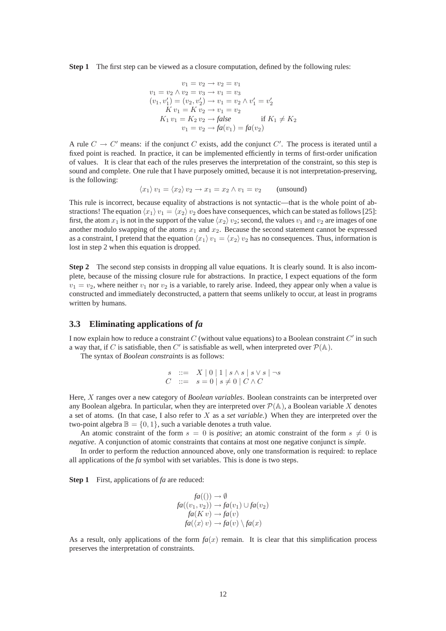**Step 1** The first step can be viewed as a closure computation, defined by the following rules:

$$
v_1 = v_2 \rightarrow v_2 = v_1
$$
  
\n
$$
v_1 = v_2 \land v_2 = v_3 \rightarrow v_1 = v_3
$$
  
\n
$$
(v_1, v'_1) = (v_2, v'_2) \rightarrow v_1 = v_2 \land v'_1 = v'_2
$$
  
\n
$$
K v_1 = K v_2 \rightarrow v_1 = v_2
$$
  
\n
$$
K_1 v_1 = K_2 v_2 \rightarrow false
$$
  
\n
$$
v_1 = v_2 \rightarrow fa(v_1) = fa(v_2)
$$

A rule  $C \to C'$  means: if the conjunct C exists, add the conjunct C'. The process is iterated until a fixed point is reached. In practice, it can be implemented efficiently in terms of first-order unification of values. It is clear that each of the rules preserves the interpretation of the constraint, so this step is sound and complete. One rule that I have purposely omitted, because it is not interpretation-preserving, is the following:

$$
\langle x_1 \rangle v_1 = \langle x_2 \rangle v_2 \to x_1 = x_2 \land v_1 = v_2 \quad \text{(unsound)}
$$

This rule is incorrect, because equality of abstractions is not syntactic—that is the whole point of abstractions! The equation  $\langle x_1 \rangle v_1 = \langle x_2 \rangle v_2$  does have consequences, which can be stated as follows [25]: first, the atom  $x_1$  is not in the support of the value  $\langle x_2 \rangle$   $v_2$ ; second, the values  $v_1$  and  $v_2$  are images of one another modulo swapping of the atoms  $x_1$  and  $x_2$ . Because the second statement cannot be expressed as a constraint, I pretend that the equation  $\langle x_1 \rangle v_1 = \langle x_2 \rangle v_2$  has no consequences. Thus, information is lost in step 2 when this equation is dropped.

**Step 2** The second step consists in dropping all value equations. It is clearly sound. It is also incomplete, because of the missing closure rule for abstractions. In practice, I expect equations of the form  $v_1 = v_2$ , where neither  $v_1$  nor  $v_2$  is a variable, to rarely arise. Indeed, they appear only when a value is constructed and immediately deconstructed, a pattern that seems unlikely to occur, at least in programs written by humans.

### **3.3 Eliminating applications of** *fa*

I now explain how to reduce a constraint C (without value equations) to a Boolean constraint  $C'$  in such a way that, if C is satisfiable, then C' is satisfiable as well, when interpreted over  $\mathcal{P}(\mathbb{A})$ .

The syntax of *Boolean constraints* is as follows:

$$
s \quad ::= \quad X \mid 0 \mid 1 \mid s \wedge s \mid s \vee s \mid \neg s
$$
  

$$
C \quad ::= \quad s = 0 \mid s \neq 0 \mid C \wedge C
$$

Here, X ranges over a new category of *Boolean variables*. Boolean constraints can be interpreted over any Boolean algebra. In particular, when they are interpreted over  $\mathcal{P}(\mathbb{A})$ , a Boolean variable X denotes a set of atoms. (In that case, I also refer to X as a *set variable*.) When they are interpreted over the two-point algebra  $\mathbb{B} = \{0, 1\}$ , such a variable denotes a truth value.

An atomic constraint of the form  $s = 0$  is *positive*; an atomic constraint of the form  $s \neq 0$  is *negative*. A conjunction of atomic constraints that contains at most one negative conjunct is *simple*.

In order to perform the reduction announced above, only one transformation is required: to replace all applications of the *fa* symbol with set variables. This is done is two steps.

**Step 1** First, applications of *fa* are reduced:

$$
fa((v) \rightarrow \emptyset
$$
  
\n
$$
fa((v_1, v_2)) \rightarrow fa(v_1) \cup fa(v_2)
$$
  
\n
$$
fa(K v) \rightarrow fa(v)
$$
  
\n
$$
fa(\langle x \rangle v) \rightarrow fa(v) \setminus fa(x)
$$

As a result, only applications of the form  $fa(x)$  remain. It is clear that this simplification process preserves the interpretation of constraints.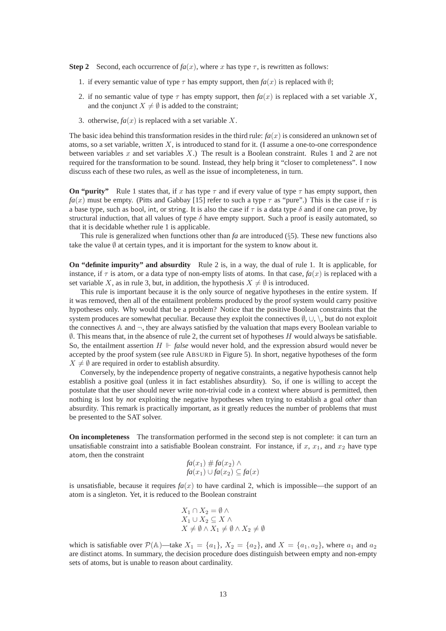**Step 2** Second, each occurrence of  $fa(x)$ , where x has type  $\tau$ , is rewritten as follows:

- 1. if every semantic value of type  $\tau$  has empty support, then  $f_a(x)$  is replaced with  $\emptyset$ ;
- 2. if no semantic value of type  $\tau$  has empty support, then  $fa(x)$  is replaced with a set variable X, and the conjunct  $X \neq \emptyset$  is added to the constraint;
- 3. otherwise,  $fa(x)$  is replaced with a set variable X.

The basic idea behind this transformation resides in the third rule:  $fa(x)$  is considered an unknown set of atoms, so a set variable, written  $X$ , is introduced to stand for it. (I assume a one-to-one correspondence between variables x and set variables  $X$ .) The result is a Boolean constraint. Rules 1 and 2 are not required for the transformation to be sound. Instead, they help bring it "closer to completeness". I now discuss each of these two rules, as well as the issue of incompleteness, in turn.

**On "purity"** Rule 1 states that, if x has type  $\tau$  and if every value of type  $\tau$  has empty support, then  $fa(x)$  must be empty. (Pitts and Gabbay [15] refer to such a type  $\tau$  as "pure".) This is the case if  $\tau$  is a base type, such as bool, int, or string. It is also the case if  $\tau$  is a data type  $\delta$  and if one can prove, by structural induction, that all values of type  $\delta$  have empty support. Such a proof is easily automated, so that it is decidable whether rule 1 is applicable.

This rule is generalized when functions other than *fa* are introduced (§5). These new functions also take the value  $\emptyset$  at certain types, and it is important for the system to know about it.

**On "definite impurity" and absurdity** Rule 2 is, in a way, the dual of rule 1. It is applicable, for instance, if  $\tau$  is atom, or a data type of non-empty lists of atoms. In that case,  $f_a(x)$  is replaced with a set variable X, as in rule 3, but, in addition, the hypothesis  $X \neq \emptyset$  is introduced.

This rule is important because it is the only source of negative hypotheses in the entire system. If it was removed, then all of the entailment problems produced by the proof system would carry positive hypotheses only. Why would that be a problem? Notice that the positive Boolean constraints that the system produces are somewhat peculiar. Because they exploit the connectives  $\emptyset$ ,  $\cup$ ,  $\setminus$ , but do not exploit the connectives  $\mathbb A$  and  $\neg$ , they are always satisfied by the valuation that maps every Boolean variable to  $\emptyset$ . This means that, in the absence of rule 2, the current set of hypotheses H would always be satisfiable. So, the entailment assertion  $H \Vdash false$  would never hold, and the expression absurd would never be accepted by the proof system (see rule ABSURD in Figure 5). In short, negative hypotheses of the form  $X \neq \emptyset$  are required in order to establish absurdity.

Conversely, by the independence property of negative constraints, a negative hypothesis cannot help establish a positive goal (unless it in fact establishes absurdity). So, if one is willing to accept the postulate that the user should never write non-trivial code in a context where absurd is permitted, then nothing is lost by *not* exploiting the negative hypotheses when trying to establish a goal *other* than absurdity. This remark is practically important, as it greatly reduces the number of problems that must be presented to the SAT solver.

**On incompleteness** The transformation performed in the second step is not complete: it can turn an unsatisfiable constraint into a satisfiable Boolean constraint. For instance, if  $x$ ,  $x_1$ , and  $x_2$  have type atom, then the constraint

$$
fa(x_1) \# fa(x_2) \land
$$
  

$$
fa(x_1) \cup fa(x_2) \subseteq fa(x)
$$

is unsatisfiable, because it requires  $f_a(x)$  to have cardinal 2, which is impossible—the support of an atom is a singleton. Yet, it is reduced to the Boolean constraint

$$
X_1 \cap X_2 = \emptyset \land X_1 \cup X_2 \subseteq X \land X \neq \emptyset \land X_1 \neq \emptyset \land X_2 \neq \emptyset
$$

which is satisfiable over  $\mathcal{P}(\mathbb{A})$ —take  $X_1 = \{a_1\}$ ,  $X_2 = \{a_2\}$ , and  $X = \{a_1, a_2\}$ , where  $a_1$  and  $a_2$ are distinct atoms. In summary, the decision procedure does distinguish between empty and non-empty sets of atoms, but is unable to reason about cardinality.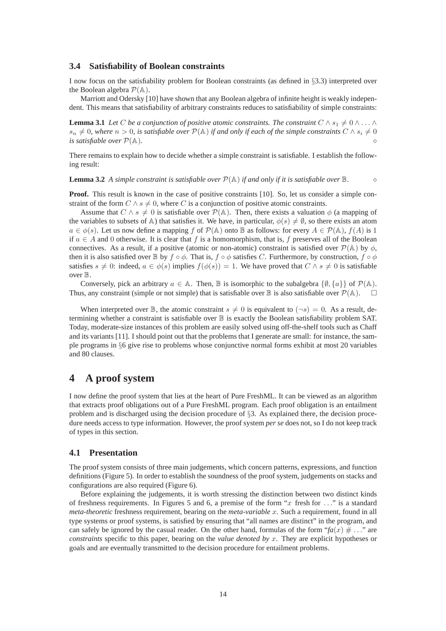#### **3.4 Satisfiability of Boolean constraints**

I now focus on the satisfiability problem for Boolean constraints (as defined in §3.3) interpreted over the Boolean algebra  $\mathcal{P}(\mathbb{A})$ .

Marriott and Odersky [10] have shown that any Boolean algebra of infinite height is weakly independent. This means that satisfiability of arbitrary constraints reduces to satisfiability of simple constraints:

**Lemma 3.1** *Let* C *be a conjunction of positive atomic constraints. The constraint*  $C \wedge s_1 \neq 0 \wedge \ldots \wedge$  $s_n \neq 0$ , where  $n > 0$ , is satisfiable over  $\mathcal{P}(\mathbb{A})$  if and only if each of the simple constraints  $C \wedge s_i \neq 0$ *is satisfiable over*  $P(A)$ *.* 

There remains to explain how to decide whether a simple constraint is satisfiable. I establish the following result:

**Lemma 3.2** *A simple constraint is satisfiable over* P(A) *if and only if it is satisfiable over* B*.* ⋄

**Proof.** This result is known in the case of positive constraints [10]. So, let us consider a simple constraint of the form  $C \wedge s \neq 0$ , where C is a conjunction of positive atomic constraints.

Assume that  $C \wedge s \neq 0$  is satisfiable over  $\mathcal{P}(\mathbb{A})$ . Then, there exists a valuation  $\phi$  (a mapping of the variables to subsets of A) that satisfies it. We have, in particular,  $\phi(s) \neq \emptyset$ , so there exists an atom  $a \in \phi(s)$ . Let us now define a mapping f of  $\mathcal{P}(\mathbb{A})$  onto  $\mathbb B$  as follows: for every  $A \in \mathcal{P}(\mathbb{A})$ ,  $f(A)$  is 1 if  $a \in A$  and 0 otherwise. It is clear that f is a homomorphism, that is, f preserves all of the Boolean connectives. As a result, if a positive (atomic or non-atomic) constraint is satisfied over  $\mathcal{P}(\mathbb{A})$  by  $\phi$ , then it is also satisfied over B by  $f \circ \phi$ . That is,  $f \circ \phi$  satisfies C. Furthermore, by construction,  $f \circ \phi$ satisfies  $s \neq 0$ : indeed,  $a \in \phi(s)$  implies  $f(\phi(s)) = 1$ . We have proved that  $C \wedge s \neq 0$  is satisfiable over B.

Conversely, pick an arbitrary  $a \in \mathbb{A}$ . Then,  $\mathbb B$  is isomorphic to the subalgebra  $\{\emptyset, \{a\}\}\$  of  $\mathcal P(\mathbb{A})$ . Thus, any constraint (simple or not simple) that is satisfiable over  $\mathbb B$  is also satisfiable over  $\mathcal P(\mathbb A)$ .  $\square$ 

When interpreted over  $\mathbb{B}$ , the atomic constraint  $s \neq 0$  is equivalent to  $(\neg s) = 0$ . As a result, determining whether a constraint is satisfiable over  $\mathbb B$  is exactly the Boolean satisfiability problem SAT. Today, moderate-size instances of this problem are easily solved using off-the-shelf tools such as Chaff and its variants [11]. I should point out that the problems that I generate are small: for instance, the sample programs in §6 give rise to problems whose conjunctive normal forms exhibit at most 20 variables and 80 clauses.

# **4 A proof system**

I now define the proof system that lies at the heart of Pure FreshML. It can be viewed as an algorithm that extracts proof obligations out of a Pure FreshML program. Each proof obligation is an entailment problem and is discharged using the decision procedure of §3. As explained there, the decision procedure needs access to type information. However, the proof system *per se* does not, so I do not keep track of types in this section.

#### **4.1 Presentation**

The proof system consists of three main judgements, which concern patterns, expressions, and function definitions (Figure 5). In order to establish the soundness of the proof system, judgements on stacks and configurations are also required (Figure 6).

Before explaining the judgements, it is worth stressing the distinction between two distinct kinds of freshness requirements. In Figures 5 and 6, a premise of the form " $x$  fresh for ..." is a standard *meta-theoretic* freshness requirement, bearing on the *meta-variable* x. Such a requirement, found in all type systems or proof systems, is satisfied by ensuring that "all names are distinct" in the program, and can safely be ignored by the casual reader. On the other hand, formulas of the form " $fa(x) \neq ...$ " are *constraints* specific to this paper, bearing on the *value denoted by* x. They are explicit hypotheses or goals and are eventually transmitted to the decision procedure for entailment problems.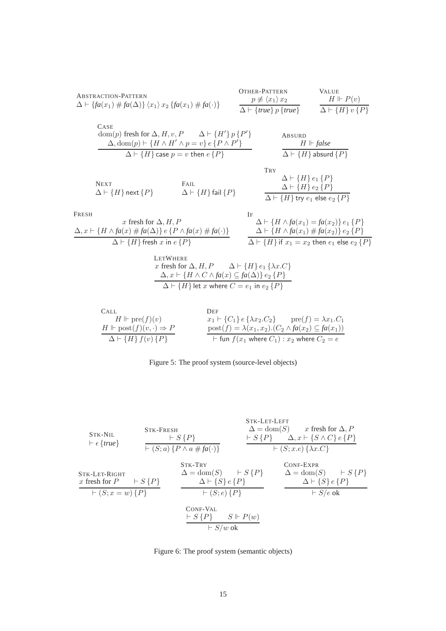ABSTRACTION-PATHERN  
\n
$$
\Delta \vdash \{fa(x_1) \# fa(\Delta)\} \langle x_1 \rangle x_2 \{fa(x_1) \# fa(\cdot)\} \qquad \frac{p \not\equiv \langle x_1 \rangle x_2}{\Delta \vdash \{true\} p \{true\}} \qquad \frac{H \Vdash P(v)}{\Delta \vdash \{H\} v \{P\}}
$$
\nCase  
\n
$$
\Delta \text{dom}(p) \text{ fresh for } \Delta, H, v, P \qquad \Delta \vdash \{H'\} p \{P'\} \qquad \text{ABSUBD}\n
$$
\Delta, \text{dom}(p) \vdash \{H \wedge H' \wedge p = v\} e \{P \wedge P'\} \qquad \text{ABSUBD}\nH \Vdash false
$$
$$

$$
H \Vdash false
$$
  
\n
$$
\Delta \vdash \{H\} \text{ absurd } \{P\}
$$

Next  
\n
$$
\Delta \vdash \{H\} \text{ next } \{P\}
$$
\n
$$
\Delta \vdash \{H\} \text{ fail } \{P\}
$$

 $\Delta \vdash \{H\}$  case  $p = v$  then  $e\{P\}$ 

$$
\frac{\Delta \vdash \{H\} e_1 \{P\}}{\Delta \vdash \{H\} e_2 \{P\}}
$$
\n
$$
\frac{\Delta \vdash \{H\} e_2 \{P\}}{\Delta \vdash \{H\} \text{ try } e_1 \text{ else } e_2 \{P\}}
$$

| FRESH                                                                                      | $x$ fresh for $\Delta$ , $H$ , $P$                         | $\Delta \vdash \{H \land fa(x_1) = fa(x_2)\} e_1 \{P\}$ |
|--------------------------------------------------------------------------------------------|------------------------------------------------------------|---------------------------------------------------------|
| $\Delta$ , $x \vdash \{H \land fa(x) \neq fa(\Delta)\} e \{P \land fa(x) \neq fa(\cdot)\}$ | $\Delta \vdash \{H \land fa(x_1) \neq fa(x_2)\} e_2 \{P\}$ |                                                         |
| $\Delta \vdash \{H\} \{H\} \{f \in S \mid x \in \{P\}$                                     | $\Delta \vdash \{H\} \{f \in \{H\} \} e_2 \{P\}$           |                                                         |

LETWHERE  
\n*x* fresh for 
$$
\Delta
$$
, *H*, *P*  $\Delta \vdash \{H\} e_1 \{\lambda x.C\}$   
\n $\Delta$ , *x*  $\vdash \{H \land C \land fa(x) \subseteq fa(\Delta)\} e_2 \{P\}$   
\n $\Delta \vdash \{H\} \text{let } x \text{ where } C = e_1 \text{ in } e_2 \{P\}$ 

| CALL                                              | <b>DEF</b>                                                                              |
|---------------------------------------------------|-----------------------------------------------------------------------------------------|
| $H \Vdash \text{pre}(f)(v)$                       | $x_1 \vdash \{C_1\}$ $\in \{\lambda x_2.C_2\}$ $\qquad \text{pre}(f) = \lambda x_1.C_1$ |
| $H \Vdash \text{post}(f)(v, \cdot) \Rightarrow P$ | $post(f) = \lambda(x_1, x_2) \cdot (C_2 \wedge fa(x_2) \subseteq fa(x_1))$              |
| $\Delta \vdash \{H\} f(v) \{P\}$                  | $\vdash$ fun $f(x_1)$ where $C_1)$ : $x_2$ where $C_2 = e$                              |

| Figure 5: The proof system (source-level objects) |  |
|---------------------------------------------------|--|
|                                                   |  |

| STK-NIL                                                                                                                                                                                                                                                                                                                                                                                                                                                                                                                                                                                                                                                                                                                                                                                                                                                                                                                                                                                                                                                                                                                                                                                                                                                                                                                                                                                                                                                                                                                                         | STK-FRESH       | STK-LET-LEFT  |                                                               |
|-------------------------------------------------------------------------------------------------------------------------------------------------------------------------------------------------------------------------------------------------------------------------------------------------------------------------------------------------------------------------------------------------------------------------------------------------------------------------------------------------------------------------------------------------------------------------------------------------------------------------------------------------------------------------------------------------------------------------------------------------------------------------------------------------------------------------------------------------------------------------------------------------------------------------------------------------------------------------------------------------------------------------------------------------------------------------------------------------------------------------------------------------------------------------------------------------------------------------------------------------------------------------------------------------------------------------------------------------------------------------------------------------------------------------------------------------------------------------------------------------------------------------------------------------|-----------------|---------------|---------------------------------------------------------------|
| $\vdash \epsilon \{true\}$                                                                                                                                                                                                                                                                                                                                                                                                                                                                                                                                                                                                                                                                                                                                                                                                                                                                                                                                                                                                                                                                                                                                                                                                                                                                                                                                                                                                                                                                                                                      | $\vdash S\{P\}$ | $\bot S\{P\}$ | $\bot S\{P\}$                                                 |
| $\vdash \epsilon \{true\}$                                                                                                                                                                                                                                                                                                                                                                                                                                                                                                                                                                                                                                                                                                                                                                                                                                                                                                                                                                                                                                                                                                                                                                                                                                                                                                                                                                                                                                                                                                                      | $\vdash S\{P\}$ | $\bot S\{P\}$ | $\bot S\{X \cdot X \cdot Y \cdot Y \cdot Z \cdot Z \cdot Z\}$ |
| $\begin{array}{c}\n\text{STK-LET-RIGHT} \\ \text{STK-LET-RIGHT} \\ \text{X fresh for } P \\ \text{X fresh for } P \\ \text{X fresh for } P \\ \text{X fresh for } P \\ \text{X fresh for } P \\ \text{X fresh for } P \\ \text{X free for } P \\ \text{X-free for } P \\ \text{X-free for } P \\ \text{X-free for } P \\ \text{X-free for } P \\ \text{X-free for } P \\ \text{X-free for } P \\ \text{X-free for } P \\ \text{X-free for } P \\ \text{X-free for } P \\ \text{X-free for } P \\ \text{X-free for } P \\ \text{X three for } P \\ \text{X three for } P \\ \text{X three for } P \\ \text{X three for } P \\ \text{X three for } P \\ \text{X three for } P \\ \text{X three for } P \\ \text{X three for } P \\ \text{X three for } P \\ \text{X three for } P \\ \text{X three for } P \\ \text{X three for } P \\ \text{X three for } P \\ \text{X three for } P \\ \text{X three for } P \\ \text{X three for } P \\ \text{X three for } P \\ \text{X three for } P \\ \text{X three for } P \\ \text{X three for } P \\ \text{X three for } P \\ \text{X three for } P \\ \text{X three for } P \\ \text{X three for } P \\ \text{X three for } P \\ \text{X three for } P \\ \text{X three for } P \\ \text{X three for } P \\ \text{X three for } P \\ \text{X three for } P \\ \text{X three for } P \\ \text{X three for } P \\ \text{X three for } P \\ \text{X three for } P \\ \text{X three for } P \\ \text{X three for } P \\ \text{X three for } P \\ \text{X three for } P \\ \text{X three for } P \\ \text{$ |                 |               |                                                               |

Figure 6: The proof system (semantic objects)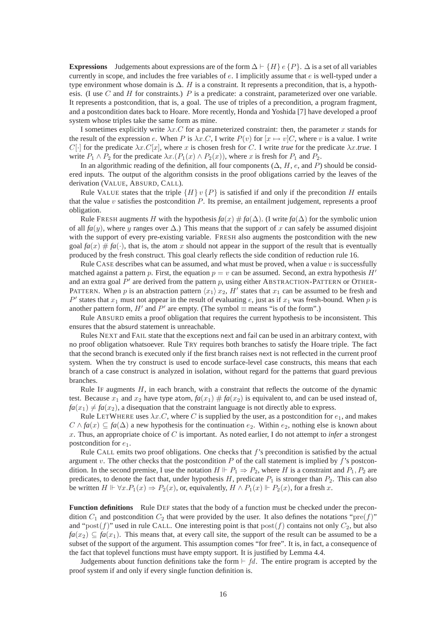**Expressions** Judgements about expressions are of the form  $\Delta \vdash \{H\} e \{P\}$ .  $\Delta$  is a set of all variables currently in scope, and includes the free variables of e. I implicitly assume that e is well-typed under a type environment whose domain is ∆. H is a constraint. It represents a precondition, that is, a hypothesis. (I use  $C$  and  $H$  for constraints.)  $P$  is a predicate: a constraint, parameterized over one variable. It represents a postcondition, that is, a goal. The use of triples of a precondition, a program fragment, and a postcondition dates back to Hoare. More recently, Honda and Yoshida [7] have developed a proof system whose triples take the same form as mine.

I sometimes explicitly write  $\lambda x.C$  for a parameterized constraint: then, the parameter x stands for the result of the expression e. When P is  $\lambda x.C$ , I write  $P(v)$  for  $[x \mapsto v]C$ , where v is a value. I write  $C[\cdot]$  for the predicate  $\lambda x.C[x]$ , where x is chosen fresh for C. I write *true* for the predicate  $\lambda x.t$ *rue*. I write  $P_1 \wedge P_2$  for the predicate  $\lambda x \cdot (P_1(x) \wedge P_2(x))$ , where x is fresh for  $P_1$  and  $P_2$ .

In an algorithmic reading of the definition, all four components  $(\Delta, H, e, \text{and } P)$  should be considered inputs. The output of the algorithm consists in the proof obligations carried by the leaves of the derivation (VALUE, ABSURD, CALL).

Rule VALUE states that the triple  $\{H\} v \{P\}$  is satisfied if and only if the precondition H entails that the value v satisfies the postcondition P. Its premise, an entailment judgement, represents a proof obligation.

Rule FRESH augments H with the hypothesis  $f_a(x) \neq f_a(\Delta)$ . (I write  $f_a(\Delta)$  for the symbolic union of all  $f_a(y)$ , where y ranges over  $\Delta$ .) This means that the support of x can safely be assumed disjoint with the support of every pre-existing variable. FRESH also augments the postcondition with the new goal  $f_a(x) \neq f_a(\cdot)$ , that is, the atom x should not appear in the support of the result that is eventually produced by the fresh construct. This goal clearly reflects the side condition of reduction rule 16.

Rule CASE describes what can be assumed, and what must be proved, when a value  $v$  is successfully matched against a pattern p. First, the equation  $p = v$  can be assumed. Second, an extra hypothesis H' and an extra goal  $P'$  are derived from the pattern p, using either ABSTRACTION-PATTERN or OTHER-PATTERN. When p is an abstraction pattern  $\langle x_1 \rangle x_2$ , H' states that  $x_1$  can be assumed to be fresh and P' states that  $x_1$  must not appear in the result of evaluating e, just as if  $x_1$  was fresh-bound. When p is another pattern form,  $H'$  and  $P'$  are empty. (The symbol  $\equiv$  means "is of the form".)

Rule ABSURD emits a proof obligation that requires the current hypothesis to be inconsistent. This ensures that the absurd statement is unreachable.

Rules NEXT and FAIL state that the exceptions next and fail can be used in an arbitrary context, with no proof obligation whatsoever. Rule TRY requires both branches to satisfy the Hoare triple. The fact that the second branch is executed only if the first branch raises next is not reflected in the current proof system. When the try construct is used to encode surface-level case constructs, this means that each branch of a case construct is analyzed in isolation, without regard for the patterns that guard previous branches.

Rule IF augments  $H$ , in each branch, with a constraint that reflects the outcome of the dynamic test. Because  $x_1$  and  $x_2$  have type atom,  $fa(x_1) \# fa(x_2)$  is equivalent to, and can be used instead of,  $fa(x_1) \neq fa(x_2)$ , a disequation that the constraint language is not directly able to express.

Rule LETWHERE uses  $\lambda x.C$ , where C is supplied by the user, as a postcondition for  $e_1$ , and makes  $C \wedge fa(x) \subseteq fa(\Delta)$  a new hypothesis for the continuation  $e_2$ . Within  $e_2$ , nothing else is known about x. Thus, an appropriate choice of C is important. As noted earlier, I do not attempt to *infer* a strongest postcondition for  $e_1$ .

Rule CALL emits two proof obligations. One checks that f's precondition is satisfied by the actual argument v. The other checks that the postcondition  $P$  of the call statement is implied by  $f$ 's postcondition. In the second premise, I use the notation  $H \Vdash P_1 \Rightarrow P_2$ , where H is a constraint and  $P_1, P_2$  are predicates, to denote the fact that, under hypothesis  $H$ , predicate  $P_1$  is stronger than  $P_2$ . This can also be written  $H \Vdash \forall x . P_1(x) \Rightarrow P_2(x)$ , or, equivalently,  $H \wedge P_1(x) \Vdash P_2(x)$ , for a fresh x.

**Function definitions** Rule DEF states that the body of a function must be checked under the precondition  $C_1$  and postcondition  $C_2$  that were provided by the user. It also defines the notations "pre(f)" and "post(f)" used in rule CALL. One interesting point is that  $post(f)$  contains not only  $C_2$ , but also  $fa(x_2) \subseteq fa(x_1)$ . This means that, at every call site, the support of the result can be assumed to be a subset of the support of the argument. This assumption comes "for free". It is, in fact, a consequence of the fact that toplevel functions must have empty support. It is justified by Lemma 4.4.

Judgements about function definitions take the form  $\vdash fd$ . The entire program is accepted by the proof system if and only if every single function definition is.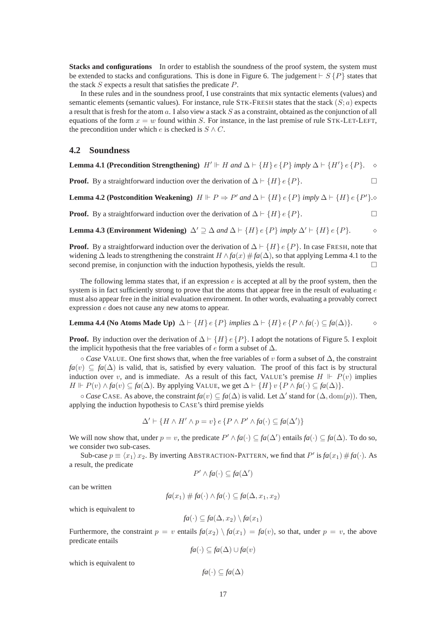Stacks and configurations In order to establish the soundness of the proof system, the system must be extended to stacks and configurations. This is done in Figure 6. The judgement  $\vdash S$  {P} states that the stack  $S$  expects a result that satisfies the predicate  $P$ .

In these rules and in the soundness proof, I use constraints that mix syntactic elements (values) and semantic elements (semantic values). For instance, rule  $STK-FRESH$  states that the stack  $(S; a)$  expects a result that is fresh for the atom  $a$ . I also view a stack S as a constraint, obtained as the conjunction of all equations of the form  $x = w$  found within S. For instance, in the last premise of rule STK-LET-LEFT, the precondition under which e is checked is  $S \wedge C$ .

#### **4.2 Soundness**

**Lemma 4.1 (Precondition Strengthening)**  $H' \Vdash H$  and  $\Delta \vdash \{H\}$  e  $\{P\}$  *imply*  $\Delta \vdash \{H'\}$  e  $\{P\}$ . ◇

**Proof.** By a straightforward induction over the derivation of  $\Delta \vdash \{H\}$  e {P}.

**Lemma 4.2 (Postcondition Weakening)**  $H \Vdash P \Rightarrow P'$  and  $\Delta \vdash \{H\} e \{P\}$  *imply*  $\Delta \vdash \{H\} e \{P'\}$ *.* 

**Proof.** By a straightforward induction over the derivation of  $\Delta \vdash \{H\} e \{P\}$ .

**Lemma 4.3 (Environment Widening)** ∆′ ⊇ ∆ *and* ∆ ⊢ {H} e {P} *imply* ∆′ ⊢ {H} e {P}*.* ⋄

**Proof.** By a straightforward induction over the derivation of  $\Delta \vdash \{H\}$  e  $\{P\}$ . In case FRESH, note that widening  $\Delta$  leads to strengthening the constraint  $H \wedge fa(x) \# fa(\Delta)$ , so that applying Lemma 4.1 to the second premise, in conjunction with the induction hypothesis, yields the result.

The following lemma states that, if an expression  $e$  is accepted at all by the proof system, then the system is in fact sufficiently strong to prove that the atoms that appear free in the result of evaluating  $e$ must also appear free in the initial evaluation environment. In other words, evaluating a provably correct expression e does not cause any new atoms to appear.

**Lemma 4.4 (No Atoms Made Up)** 
$$
\Delta \vdash \{H\} e \{P\} implies \Delta \vdash \{H\} e \{P \land fa(\cdot) \subseteq fa(\Delta)\}.
$$

**Proof.** By induction over the derivation of  $\Delta \vdash \{H\}$  e  $\{P\}$ . I adopt the notations of Figure 5. I exploit the implicit hypothesis that the free variables of  $e$  form a subset of  $\Delta$ .

◦ *Case* VALUE. One first shows that, when the free variables of v form a subset of ∆, the constraint  $fa(v) \subseteq fa(\Delta)$  is valid, that is, satisfied by every valuation. The proof of this fact is by structural induction over v, and is immediate. As a result of this fact, VALUE's premise  $H \Vdash P(v)$  implies *H*  $\Vdash$  *P*(*v*) ∧ *fa*(*v*) ⊆ *fa*( $\Delta$ ). By applying VALUE, we get  $\Delta$   $\vdash$  {*H*} *v* {*P* ∧ *fa*(·) ⊆ *fa*( $\Delta$ )}.

◦ *Case* CASE. As above, the constraint *fa*(v) ⊆ *fa*(∆) is valid. Let ∆′ stand for (∆, dom(p)). Then, applying the induction hypothesis to CASE's third premise yields

$$
\Delta' \vdash \{ H \land H' \land p = v \} \, e \, \{ P \land P' \land fa(\cdot) \subseteq fa(\Delta') \}
$$

We will now show that, under  $p = v$ , the predicate  $P' \wedge fa(\cdot) \subseteq fa(\Delta')$  entails  $fa(\cdot) \subseteq fa(\Delta)$ . To do so, we consider two sub-cases.

Sub-case  $p \equiv \langle x_1 \rangle x_2$ . By inverting ABSTRACTION-PATTERN, we find that P' is  $fa(x_1) \# fa(\cdot)$ . As a result, the predicate

$$
P' \wedge fa(\cdot) \subseteq fa(\Delta')
$$

can be written

$$
fa(x_1) \# fa(\cdot) \land fa(\cdot) \subseteq fa(\Delta, x_1, x_2)
$$

which is equivalent to

$$
fa(\cdot) \subseteq fa(\Delta, x_2) \setminus fa(x_1)
$$

Furthermore, the constraint  $p = v$  entails  $fa(x_2) \setminus fa(x_1) = fa(v)$ , so that, under  $p = v$ , the above predicate entails

*fa*(·) ⊂ *fa*( $\Delta$ ) ∪ *fa*(*v*)

which is equivalent to

$$
fa(\cdot) \subseteq fa(\Delta)
$$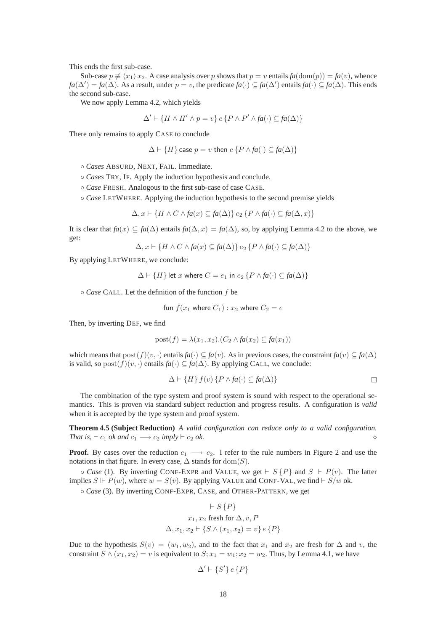This ends the first sub-case.

Sub-case  $p \neq \langle x_1 \rangle x_2$ . A case analysis over p shows that  $p = v$  entails  $f_a(\text{dom}(p)) = f_a(v)$ , whence *fa*( $\Delta'$ ) = *fa*( $\Delta$ ). As a result, under *p* = *v*, the predicate *fa*(·) ⊆ *fa*( $\Delta'$ ) entails *fa*(·) ⊆ *fa*( $\Delta$ ). This ends the second sub-case.

We now apply Lemma 4.2, which yields

$$
\Delta' \vdash \{ H \land H' \land p = v \} \, e \, \{ P \land P' \land fa(\cdot) \subseteq fa(\Delta) \}
$$

There only remains to apply CASE to conclude

$$
\Delta \vdash \{H\} \mathsf{case}\ p = v \mathsf{ then}\ e\{P \land fa(\cdot) \subseteq fa(\Delta)\}\
$$

◦ *Cases* ABSURD, NEXT, FAIL. Immediate.

◦ *Cases* TRY, IF. Apply the induction hypothesis and conclude.

◦ *Case* FRESH. Analogous to the first sub-case of case CASE.

◦ *Case* LETWHERE. Applying the induction hypothesis to the second premise yields

$$
\Delta, x \vdash \{H \land C \land fa(x) \subseteq fa(\Delta)\} \, e_2 \, \{P \land fa(\cdot) \subseteq fa(\Delta, x)\}
$$

It is clear that  $f_a(x) \subseteq f_a(\Delta)$  entails  $f_a(\Delta, x) = f_a(\Delta)$ , so, by applying Lemma 4.2 to the above, we get:

$$
\Delta, x \vdash \{ H \land C \land fa(x) \subseteq fa(\Delta) \} e_2 \{ P \land fa(\cdot) \subseteq fa(\Delta) \}
$$

By applying LETWHERE, we conclude:

$$
\Delta \vdash \{H\} \text{ let } x \text{ where } C = e_1 \text{ in } e_2 \{P \land fa(\cdot) \subseteq fa(\Delta)\}
$$

◦ *Case* CALL. Let the definition of the function f be

$$
fun\ f(x_1\ \text{where}\ C_1): x_2\ \text{where}\ C_2 = e
$$

Then, by inverting DEF, we find

$$
post(f) = \lambda(x_1, x_2) \cdot (C_2 \wedge fa(x_2) \subseteq fa(x_1))
$$

which means that  $post(f)(v, \cdot)$  entails  $fa(\cdot) \subseteq fa(v)$ . As in previous cases, the constraint  $fa(v) \subseteq fa(\Delta)$ is valid, so  $post(f)(v, \cdot)$  entails  $fa(\cdot) \subseteq fa(\Delta)$ . By applying CALL, we conclude:

$$
\Delta \vdash \{H\} \, f(v) \, \{P \land fa(\cdot) \subseteq fa(\Delta)\}
$$

The combination of the type system and proof system is sound with respect to the operational semantics. This is proven via standard subject reduction and progress results. A configuration is *valid* when it is accepted by the type system and proof system.

**Theorem 4.5 (Subject Reduction)** *A valid configuration can reduce only to a valid configuration. That is,* ⊢ c<sup>1</sup> *ok and* c<sup>1</sup> −→ c<sup>2</sup> *imply* ⊢ c<sup>2</sup> *ok.* ⋄

**Proof.** By cases over the reduction  $c_1 \rightarrow c_2$ . I refer to the rule numbers in Figure 2 and use the notations in that figure. In every case,  $\Delta$  stands for  $dom(S)$ .

 $\circ$  *Case* (1). By inverting CONF-EXPR and VALUE, we get  $\vdash$  S {P} and S  $\Vdash$  P(v). The latter implies  $S \Vdash P(w)$ , where  $w = S(v)$ . By applying VALUE and CONF-VAL, we find  $\vdash S/w$  ok.

◦ *Case* (3). By inverting CONF-EXPR, CASE, and OTHER-PATTERN, we get

$$
\vdash S\{P\}
$$
  

$$
x_1, x_2 \text{ fresh for } \Delta, v, P
$$
  

$$
\Delta, x_1, x_2 \vdash \{S \land (x_1, x_2) = v\} e \{P\}
$$

Due to the hypothesis  $S(v) = (w_1, w_2)$ , and to the fact that  $x_1$  and  $x_2$  are fresh for  $\Delta$  and v, the constraint  $S \wedge (x_1, x_2) = v$  is equivalent to  $S; x_1 = w_1; x_2 = w_2$ . Thus, by Lemma 4.1, we have

$$
\Delta' \vdash \{S'\} \, e \, \{P\}
$$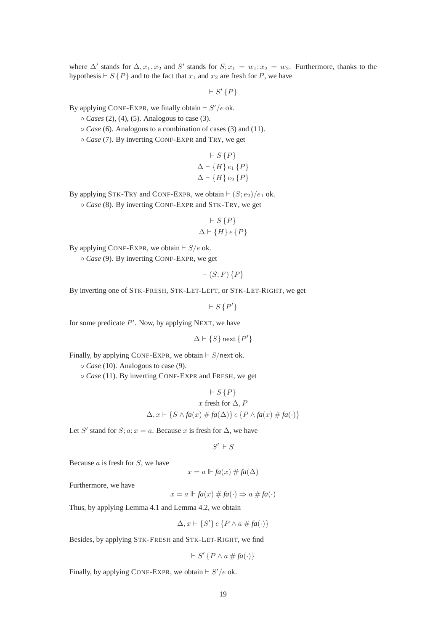where  $\Delta'$  stands for  $\Delta, x_1, x_2$  and S' stands for  $S; x_1 = w_1; x_2 = w_2$ . Furthermore, thanks to the hypothesis  $\vdash S \{P\}$  and to the fact that  $x_1$  and  $x_2$  are fresh for P, we have

 $\vdash S'\{P\}$ 

By applying CONF-EXPR, we finally obtain  $\vdash S'/e$  ok.

◦ *Cases* (2), (4), (5). Analogous to case (3).

◦ *Case* (6). Analogous to a combination of cases (3) and (11).

◦ *Case* (7). By inverting CONF-EXPR and TRY, we get

$$
\vdash S \{P\}
$$
  
\n
$$
\Delta \vdash \{H\} e_1 \{P\}
$$
  
\n
$$
\Delta \vdash \{H\} e_2 \{P\}
$$

By applying STK-TRY and CONF-EXPR, we obtain  $\vdash (S; e_2)/e_1$  ok. ◦ *Case* (8). By inverting CONF-EXPR and STK-TRY, we get

$$
\begin{array}{c}\n \vdash S \{P\} \\
 \Delta \vdash \{H\} \, e \{P\}\n\end{array}
$$

By applying CONF-EXPR, we obtain  $\vdash S/e$  ok.

◦ *Case* (9). By inverting CONF-EXPR, we get

 $\vdash (S; F)$  { $P$ }

By inverting one of STK-FRESH, STK-LET-LEFT, or STK-LET-RIGHT, we get

 $\vdash S\{P'\}$ 

for some predicate  $P'$ . Now, by applying NEXT, we have

 $\Delta \vdash \{S\}$  next  $\{P'\}$ 

Finally, by applying CONF-EXPR, we obtain  $\vdash S$ /next ok.

◦ *Case* (10). Analogous to case (9).

◦ *Case* (11). By inverting CONF-EXPR and FRESH, we get

$$
\vdash S \{P\}
$$
  

$$
x \text{ fresh for } \Delta, P
$$
  

$$
\Delta, x \vdash \{S \land fa(x) \# fa(\Delta)\} \{P \land fa(x) \# fa(\cdot)\}
$$

Let S' stand for  $S; a; x = a$ . Because x is fresh for  $\Delta$ , we have

 $S' \Vdash S$ 

Because  $a$  is fresh for  $S$ , we have

 $x = a \Vdash fa(x) \# fa(\Delta)$ 

Furthermore, we have

 $x = a \Vdash fa(x) \# fa(\cdot) \Rightarrow a \# fa(\cdot)$ 

Thus, by applying Lemma 4.1 and Lemma 4.2, we obtain

$$
\Delta, x \vdash \{S'\} \, e \, \{P \land a \# fa(\cdot)\}
$$

Besides, by applying STK-FRESH and STK-LET-RIGHT, we find

 $\vdash S'\{P \land a \# fa(\cdot)\}$ 

Finally, by applying CONF-EXPR, we obtain  $\vdash S'/e$  ok.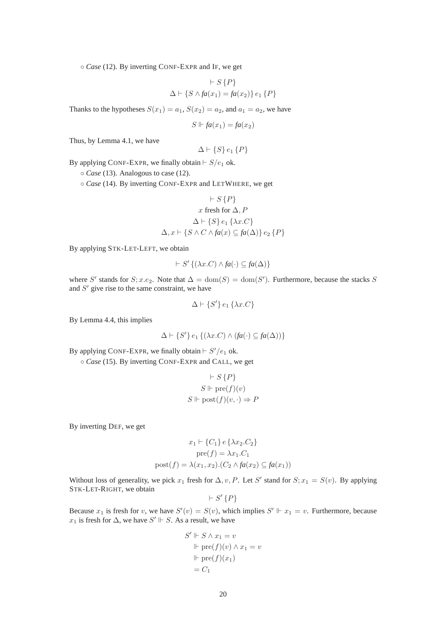◦ *Case* (12). By inverting CONF-EXPR and IF, we get

$$
\vdash S\{P\}
$$
  

$$
\Delta \vdash \{S \land fa(x_1) = fa(x_2)\} e_1 \{P\}
$$

Thanks to the hypotheses  $S(x_1) = a_1$ ,  $S(x_2) = a_2$ , and  $a_1 = a_2$ , we have

$$
S \Vdash fa(x_1) = fa(x_2)
$$

Thus, by Lemma 4.1, we have

$$
\Delta \vdash \{S\} \, e_1 \, \{P\}
$$

By applying CONF-EXPR, we finally obtain  $\vdash S/e_1$  ok.

◦ *Case* (13). Analogous to case (12).

◦ *Case* (14). By inverting CONF-EXPR and LETWHERE, we get

$$
\vdash S \{P\}
$$
  

$$
x \text{ fresh for } \Delta, P
$$
  

$$
\Delta \vdash \{S\} e_1 \{\lambda x.C\}
$$
  

$$
\Delta, x \vdash \{S \land C \land fa(x) \subseteq fa(\Delta)\} e_2 \{P\}
$$

By applying STK-LET-LEFT, we obtain

$$
\vdash S' \{ (\lambda x.C) \land fa(\cdot) \subseteq fa(\Delta) \}
$$

where S' stands for  $S; x.e_2$ . Note that  $\Delta = \text{dom}(S) = \text{dom}(S')$ . Furthermore, because the stacks S and  $S'$  give rise to the same constraint, we have

$$
\Delta \vdash \{S'\} \, e_1 \, \{\lambda x.C\}
$$

By Lemma 4.4, this implies

$$
\Delta \vdash \{S'\} \, e_1 \, \{(\lambda x. C) \land (fa(\cdot) \subseteq fa(\Delta))\}
$$

By applying CONF-EXPR, we finally obtain  $\vdash S'/e_1$  ok.

◦ *Case* (15). By inverting CONF-EXPR and CALL, we get

$$
\vdash S \{P\}
$$
  

$$
S \Vdash \text{pre}(f)(v)
$$
  

$$
S \Vdash \text{post}(f)(v, \cdot) \Rightarrow P
$$

By inverting DEF, we get

$$
x_1 \vdash \{C_1\} \in \{\lambda x_2.C_2\}
$$

$$
pre(f) = \lambda x_1.C_1
$$

$$
post(f) = \lambda(x_1, x_2). (C_2 \land fa(x_2) \subseteq fa(x_1))
$$

Without loss of generality, we pick  $x_1$  fresh for  $\Delta, v, P$ . Let S' stand for  $S; x_1 = S(v)$ . By applying STK-LET-RIGHT, we obtain

$$
\vdash S'\{P\}
$$

Because  $x_1$  is fresh for v, we have  $S'(v) = S(v)$ , which implies  $S' \Vdash x_1 = v$ . Furthermore, because  $x_1$  is fresh for  $\Delta$ , we have  $S' \Vdash S$ . As a result, we have

$$
S' \Vdash S \land x_1 = v
$$

$$
\Vdash \text{pre}(f)(v) \land x_1 = v
$$

$$
\Vdash \text{pre}(f)(x_1)
$$

$$
= C_1
$$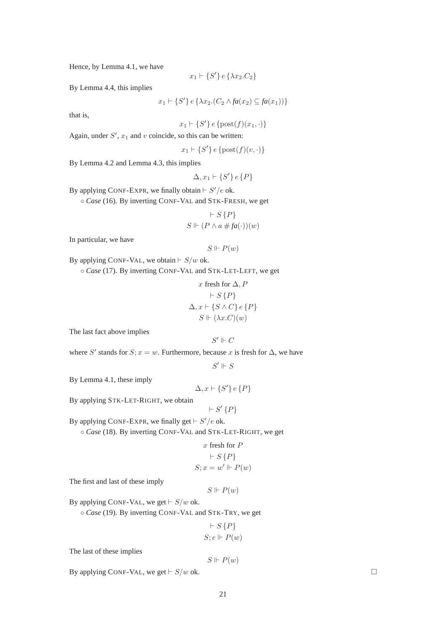Hence, by Lemma 4.1, we have

$$
x_1 \vdash \{S'\} \, e \, \{\lambda x_2.C_2\}
$$

By Lemma 4.4, this implies

$$
x_1 \vdash \{S'\} \, e \, \{\lambda x_2 \ldotp (C_2 \land fa(x_2) \subseteq fa(x_1))\}
$$

that is,

$$
x_1 \vdash \{S'\} \, e \, \{\text{post}(f)(x_1, \cdot)\}
$$

Again, under  $S'$ ,  $x_1$  and v coincide, so this can be written:

 $x_1 \vdash \{S'\} \, e \, \{\text{post}(f)(v, \cdot)\}$ 

By Lemma 4.2 and Lemma 4.3, this implies

$$
\Delta, x_1 \vdash \{S'\} \, e \,\{P\}
$$

By applying CONF-EXPR, we finally obtain  $\vdash S'/e$  ok.

◦ *Case* (16). By inverting CONF-VAL and STK-FRESH, we get

$$
\vdash S\{P\}
$$
  

$$
S \Vdash (P \land a \# fa(\cdot))(w)
$$

In particular, we have

$$
S \Vdash P(w)
$$

By applying CONF-VAL, we obtain  $\vdash S/w$  ok.

◦ *Case* (17). By inverting CONF-VAL and STK-LET-LEFT, we get

$$
x \text{ fresh for } \Delta, P
$$
  
+
$$
S\{P\}
$$
  

$$
\Delta, x \vdash \{S \land C\} e \{P\}
$$
  

$$
S \Vdash (\lambda x.C)(w)
$$

The last fact above implies

$$
S' \Vdash C
$$

where S' stands for  $S; x = w$ . Furthermore, because x is fresh for  $\Delta$ , we have

 $S' \Vdash S$ 

By Lemma 4.1, these imply

 $\Delta, x \vdash \{S'\} \, e \, \{P\}$ 

By applying STK-LET-RIGHT, we obtain

$$
\vdash S'\{P\}
$$

By applying CONF-EXPR, we finally get  $\vdash S'/e$  ok.

◦ *Case* (18). By inverting CONF-VAL and STK-LET-RIGHT, we get

$$
x \text{ fresh for } P
$$

$$
\vdash S \{P\}
$$

$$
S; x = w' \Vdash P(w)
$$

The first and last of these imply

$$
S \Vdash P(w)
$$

By applying CONF-VAL, we get  $\vdash S/w$  ok.

◦ *Case* (19). By inverting CONF-VAL and STK-TRY, we get

$$
\vdash S\{P\}
$$
  

$$
S; e \Vdash P(w)
$$

The last of these implies

$$
S \Vdash P(w)
$$

By applying CONF-VAL, we get  $\vdash S/w$  ok.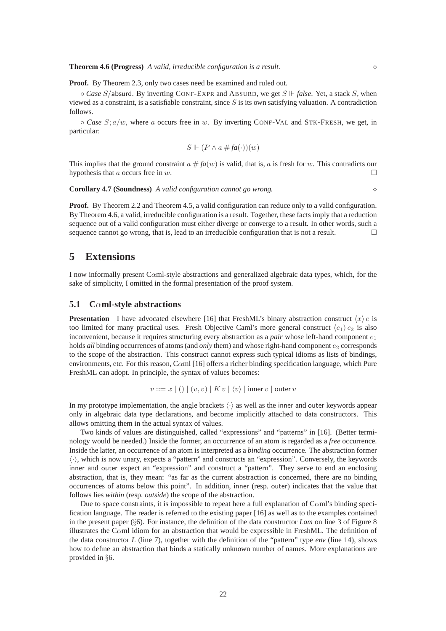**Proof.** By Theorem 2.3, only two cases need be examined and ruled out.

◦ *Case* S/absurd. By inverting CONF-EXPR and ABSURD, we get S *false*. Yet, a stack S, when viewed as a constraint, is a satisfiable constraint, since  $S$  is its own satisfying valuation. A contradiction follows.

 $\circ$  *Case* S;  $a/w$ , where a occurs free in w. By inverting CONF-VAL and STK-FRESH, we get, in particular:

$$
S \Vdash (P \land a \# fa(\cdot))(w)
$$

This implies that the ground constraint  $a \# fa(w)$  is valid, that is, a is fresh for w. This contradicts our hypothesis that a occurs free in  $w$ .

**Corollary 4.7 (Soundness)** *A valid configuration cannot go wrong.* ⋄

**Proof.** By Theorem 2.2 and Theorem 4.5, a valid configuration can reduce only to a valid configuration. By Theorem 4.6, a valid, irreducible configuration is a result. Together, these facts imply that a reduction sequence out of a valid configuration must either diverge or converge to a result. In other words, such a sequence cannot go wrong, that is, lead to an irreducible configuration that is not a result.  $\Box$ 

### **5 Extensions**

I now informally present Cαml-style abstractions and generalized algebraic data types, which, for the sake of simplicity, I omitted in the formal presentation of the proof system.

#### **5.1 C**α**ml-style abstractions**

**Presentation** I have advocated elsewhere [16] that FreshML's binary abstraction construct  $\langle x \rangle e$  is too limited for many practical uses. Fresh Objective Caml's more general construct  $\langle e_1 \rangle e_2$  is also inconvenient, because it requires structuring every abstraction as a *pair* whose left-hand component  $e_1$ holds *all* binding occurrences of atoms (and *only* them) and whose right-hand component  $e_2$  corresponds to the scope of the abstraction. This construct cannot express such typical idioms as lists of bindings, environments, etc. For this reason, Cαml [16] offers a richer binding specification language, which Pure FreshML can adopt. In principle, the syntax of values becomes:

$$
v ::= x \mid () \mid (v, v) \mid Kv \mid \langle v \rangle \mid \text{inner } v \mid \text{outer } v
$$

In my prototype implementation, the angle brackets  $\langle \cdot \rangle$  as well as the inner and outer keywords appear only in algebraic data type declarations, and become implicitly attached to data constructors. This allows omitting them in the actual syntax of values.

Two kinds of values are distinguished, called "expressions" and "patterns" in [16]. (Better terminology would be needed.) Inside the former, an occurrence of an atom is regarded as a *free* occurrence. Inside the latter, an occurrence of an atom is interpreted as a *binding* occurrence. The abstraction former  $\langle \cdot \rangle$ , which is now unary, expects a "pattern" and constructs an "expression". Conversely, the keywords inner and outer expect an "expression" and construct a "pattern". They serve to end an enclosing abstraction, that is, they mean: "as far as the current abstraction is concerned, there are no binding occurrences of atoms below this point". In addition, inner (resp. outer) indicates that the value that follows lies *within* (resp. *outside*) the scope of the abstraction.

Due to space constraints, it is impossible to repeat here a full explanation of  $Cam's$  binding specification language. The reader is referred to the existing paper [16] as well as to the examples contained in the present paper (§6). For instance, the definition of the data constructor *Lam* on line 3 of Figure 8 illustrates the Cαml idiom for an abstraction that would be expressible in FreshML. The definition of the data constructor *L* (line 7), together with the definition of the "pattern" type *env* (line 14), shows how to define an abstraction that binds a statically unknown number of names. More explanations are provided in §6.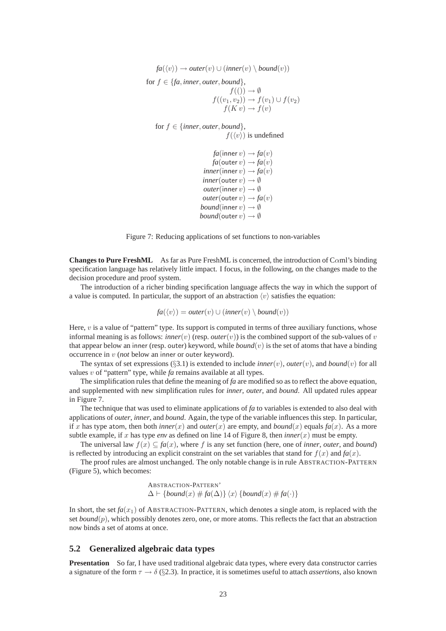$fa(\langle v \rangle) \rightarrow outer(v) \cup (inner(v) \setminus bound(v))$ for  $f \in \{fa, inner, outer, bound\}$ ,  $f((\tilde{))} \rightarrow \emptyset$  $f((v_1, v_2)) \to f(v_1) \cup f(v_2)$  $f(K v) \to f(v)$ 

for  $f \in \{inner, outer, bound\}$ ,  $f(\langle v \rangle)$  is undefined

> *fa*(inner  $v$ )  $\rightarrow$  *fa*(*v*) *fa*(outer  $v$ )  $\rightarrow$  *fa*(*v*)  $inner(inner v) \rightarrow fa(v)$  $\mathit{inner}(\mathsf{outer}\, v) \rightarrow \emptyset$ *outer*(inner  $v$ )  $\rightarrow \emptyset$ *outer*(outer  $v$ )  $\rightarrow$   $fa(v)$ *bound*(inner  $v$ )  $\rightarrow \emptyset$ *bound*(outer  $v$ )  $\rightarrow \emptyset$

Figure 7: Reducing applications of set functions to non-variables

**Changes to Pure FreshML** As far as Pure FreshML is concerned, the introduction of Caml's binding specification language has relatively little impact. I focus, in the following, on the changes made to the decision procedure and proof system.

The introduction of a richer binding specification language affects the way in which the support of a value is computed. In particular, the support of an abstraction  $\langle v \rangle$  satisfies the equation:

 $fa(\langle v \rangle) = outer(v) \cup (inner(v) \setminus bound(v))$ 

Here, v is a value of "pattern" type. Its support is computed in terms of three auxiliary functions, whose informal meaning is as follows: *inner*(v) (resp. *outer*(v)) is the combined support of the sub-values of v that appear below an inner (resp. outer) keyword, while  $bound(v)$  is the set of atoms that have a binding occurrence in v (*not* below an inner or outer keyword).

The syntax of set expressions (§3.1) is extended to include *inner* $(v)$ , *outer* $(v)$ , and *bound* $(v)$  for all values v of "pattern" type, while *fa* remains available at all types.

The simplification rules that define the meaning of *fa* are modified so as to reflect the above equation, and supplemented with new simplification rules for *inner*, *outer*, and *bound*. All updated rules appear in Figure 7.

The technique that was used to eliminate applications of *fa* to variables is extended to also deal with applications of *outer*, *inner*, and *bound*. Again, the type of the variable influences this step. In particular, if x has type atom, then both *inner*(x) and *outer*(x) are empty, and *bound*(x) equals  $fa(x)$ . As a more subtle example, if x has type *env* as defined on line 14 of Figure 8, then *inner*(x) must be empty.

The universal law  $f(x) \subseteq fa(x)$ , where f is any set function (here, one of *inner*, *outer*, and *bound*) is reflected by introducing an explicit constraint on the set variables that stand for  $f(x)$  and  $fa(x)$ .

The proof rules are almost unchanged. The only notable change is in rule ABSTRACTION-PATTERN (Figure 5), which becomes:

> ABSTRACTION-PATTERN'  $\Delta \vdash \{bound(x) \# fa(\Delta)\} \langle x \rangle \{bound(x) \# fa(\cdot)\}$

In short, the set  $fa(x_1)$  of ABSTRACTION-PATTERN, which denotes a single atom, is replaced with the set *bound*(p), which possibly denotes zero, one, or more atoms. This reflects the fact that an abstraction now binds a set of atoms at once.

### **5.2 Generalized algebraic data types**

**Presentation** So far, I have used traditional algebraic data types, where every data constructor carries a signature of the form  $\tau \to \delta$  (§2.3). In practice, it is sometimes useful to attach *assertions*, also known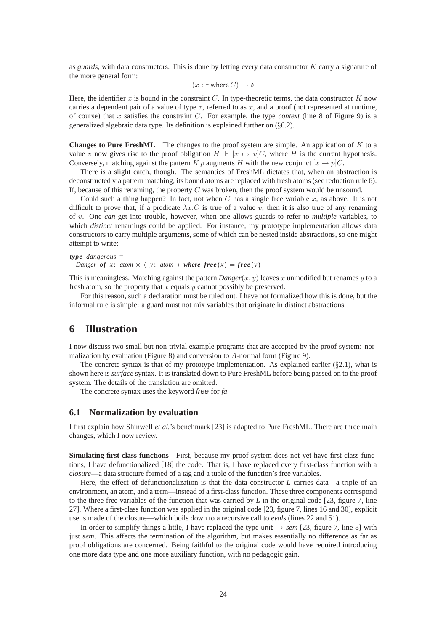as *guards*, with data constructors. This is done by letting every data constructor K carry a signature of the more general form:

$$
(x:\tau\text{ where }C)\to\delta
$$

Here, the identifier x is bound in the constraint  $C$ . In type-theoretic terms, the data constructor  $K$  now carries a dependent pair of a value of type  $\tau$ , referred to as x, and a proof (not represented at runtime, of course) that x satisfies the constraint C. For example, the type *context* (line 8 of Figure 9) is a generalized algebraic data type. Its definition is explained further on (§6.2).

**Changes to Pure FreshML** The changes to the proof system are simple. An application of K to a value v now gives rise to the proof obligation  $H \Vdash [x \mapsto v]C$ , where H is the current hypothesis. Conversely, matching against the pattern K p augments H with the new conjunct  $[x \mapsto p]C$ .

There is a slight catch, though. The semantics of FreshML dictates that, when an abstraction is deconstructed via pattern matching, its bound atoms are replaced with fresh atoms (see reduction rule 6). If, because of this renaming, the property  $C$  was broken, then the proof system would be unsound.

Could such a thing happen? In fact, not when C has a single free variable x, as above. It is not difficult to prove that, if a predicate  $\lambda x.C$  is true of a value v, then it is also true of any renaming of v. One *can* get into trouble, however, when one allows guards to refer to *multiple* variables, to which *distinct* renamings could be applied. For instance, my prototype implementation allows data constructors to carry multiple arguments, some of which can be nested inside abstractions, so one might attempt to write:

```
type dangerous =
| Danger of x: atom \times \langle y: atom \rangle where free(x) = free(y)
```
This is meaningless. Matching against the pattern  $Danger(x, y)$  leaves x unmodified but renames y to a fresh atom, so the property that  $x$  equals  $y$  cannot possibly be preserved.

For this reason, such a declaration must be ruled out. I have not formalized how this is done, but the informal rule is simple: a guard must not mix variables that originate in distinct abstractions.

# **6 Illustration**

I now discuss two small but non-trivial example programs that are accepted by the proof system: normalization by evaluation (Figure 8) and conversion to A-normal form (Figure 9).

The concrete syntax is that of my prototype implementation. As explained earlier  $(\S2.1)$ , what is shown here is *surface* syntax. It is translated down to Pure FreshML before being passed on to the proof system. The details of the translation are omitted.

The concrete syntax uses the keyword free for *fa*.

### **6.1 Normalization by evaluation**

I first explain how Shinwell *et al.*'s benchmark [23] is adapted to Pure FreshML. There are three main changes, which I now review.

**Simulating first-class functions** First, because my proof system does not yet have first-class functions, I have defunctionalized [18] the code. That is, I have replaced every first-class function with a *closure*—a data structure formed of a tag and a tuple of the function's free variables.

Here, the effect of defunctionalization is that the data constructor *L* carries data—a triple of an environment, an atom, and a term—instead of a first-class function. These three components correspond to the three free variables of the function that was carried by *L* in the original code [23, figure 7, line 27]. Where a first-class function was applied in the original code [23, figure 7, lines 16 and 30], explicit use is made of the closure—which boils down to a recursive call to *evals* (lines 22 and 51).

In order to simplify things a little, I have replaced the type unit → *sem* [23, figure 7, line 8] with just *sem*. This affects the termination of the algorithm, but makes essentially no difference as far as proof obligations are concerned. Being faithful to the original code would have required introducing one more data type and one more auxiliary function, with no pedagogic gain.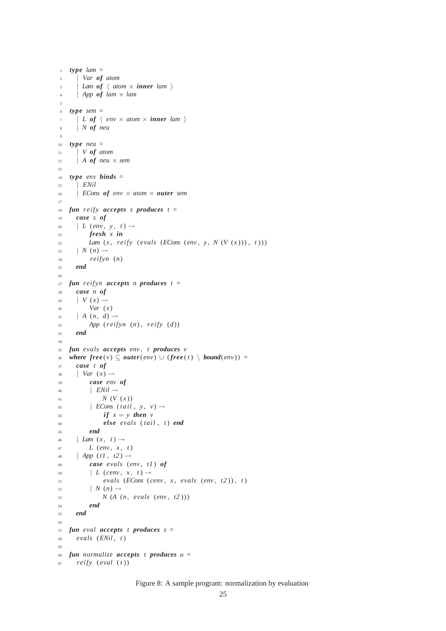```
1 type lam =2 | Var of atom
      \vert Lam of \langle atom \times inner lam \rangle\vert App of lam \times lam
 5
6 type sem =
7 \mid L \text{ of } \langle \text{ env } \times \text{ atom } \times \text{ inner } \text{ lam } \rangle8 | N of neu
\overline{9}10 type neu =
11 | V of atom
\vert A of neu \times sem
13
14 type env binds =
15 | ENil
16 | ECons of env × atom × outer sem
17
18 fun reify accepts s produces t =19 case s of
20 \vert L (env, y, t) \rightarrow21 fresh x in
22 Lam (x , reify ( evals (ECons (env , y , N (V (x ))) , t )))
23 \mid N(n) \rightarrow24 reifyn (n)
25 end
26
27 fun reifyn accepts n produces t =28 case n of
29 \mid V(x) \rightarrow30 Var (x )
31 \qquad A \left( n, d \right) \rightarrow32 App (reifyn (n) , reify (d))
33 end
34
35 fun evals accepts env , t produces v
36 where free(v) \subseteq outer(\text{env}) \cup (free(t) \setminus bound(\text{env})) =37 case t of
38 | Var (x) \rightarrow39 case env of
40 | ENil \rightarrow41 N (V (x ))
42 |ECons (tail, y, v) \rightarrow43 if x = y then v
44 else evals ( tail , t ) end
45 end
46 \vert Lam (x, t) \rightarrow47 L (env , x , t )
48 \vert App (t1, t2) \rightarrow49 case evals (env , t1 ) of
\begin{array}{ccc} 50 & \vert & L \ (conv, x, t) \rightarrow \end{array}51 evals (ECons (cenv , x , evals (env , t2 )) , t )
\begin{array}{ccc} \n 52 & \quad | & N(n) \rightarrow \n \end{array}53 N (A (n , evals (env , t2 )))
54 end
55 end
56
57 fun eval accepts t produces s =58 evals (ENil , t )
59
60 fun normalize accepts t produces u =
f_{61} reify (eval (t))
```
Figure 8: A sample program: normalization by evaluation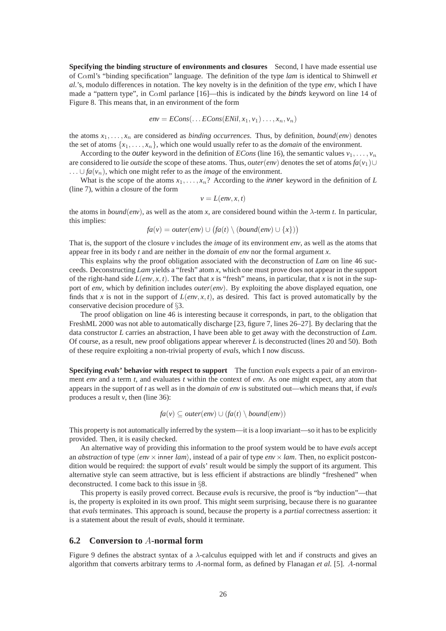**Specifying the binding structure of environments and closures** Second, I have made essential use of Cαml's "binding specification" language. The definition of the type *lam* is identical to Shinwell *et al.*'s, modulo differences in notation. The key novelty is in the definition of the type *env*, which I have made a "pattern type", in Caml parlance [16]—this is indicated by the binds keyword on line 14 of Figure 8. This means that, in an environment of the form

$$
env = ECons(...ECons(ENil, x_1, v_1)..., x_n, v_n)
$$

the atoms  $x_1, \ldots, x_n$  are considered as *binding occurrences*. Thus, by definition, *bound*(*env*) denotes the set of atoms  $\{x_1, \ldots, x_n\}$ , which one would usually refer to as the *domain* of the environment.

According to the *outer* keyword in the definition of *ECons* (line 16), the semantic values  $v_1, \ldots, v_n$ are considered to lie *outside* the scope of these atoms. Thus, *outer*(*env*) denotes the set of atoms  $fa(v_1) \cup$ ...  $∪ fa(v_n)$ , which one might refer to as the *image* of the environment.

What is the scope of the atoms  $x_1, \ldots, x_n$ ? According to the *inner* keyword in the definition of *L* (line 7), within a closure of the form

$$
v = L(\text{env}, x, t)
$$

the atoms in *bound*(*env*), as well as the atom *x*, are considered bound within the  $\lambda$ -term *t*. In particular, this implies:

$$
fa(v) = outer(\text{env}) \cup (fa(t) \setminus (bound(\text{env}) \cup \{x\}))
$$

That is, the support of the closure *v* includes the *image* of its environment *env*, as well as the atoms that appear free in its body *t* and are neither in the *domain* of *env* nor the formal argument *x*.

This explains why the proof obligation associated with the deconstruction of *Lam* on line 46 succeeds. Deconstructing *Lam* yields a "fresh" atom *x*, which one must prove does not appear in the support of the right-hand side  $L(\text{env}, x, t)$ . The fact that *x* is "fresh" means, in particular, that *x* is not in the support of *env*, which by definition includes *outer*(*env*). By exploiting the above displayed equation, one finds that *x* is not in the support of  $L(\text{env}, x, t)$ , as desired. This fact is proved automatically by the conservative decision procedure of §3.

The proof obligation on line 46 is interesting because it corresponds, in part, to the obligation that FreshML 2000 was not able to automatically discharge [23, figure 7, lines 26–27]. By declaring that the data constructor *L* carries an abstraction, I have been able to get away with the deconstruction of *Lam*. Of course, as a result, new proof obligations appear wherever *L* is deconstructed (lines 20 and 50). Both of these require exploiting a non-trivial property of *evals*, which I now discuss.

**Specifying** *evals***' behavior with respect to support** The function *evals* expects a pair of an environment *env* and a term *t*, and evaluates *t* within the context of *env*. As one might expect, any atom that appears in the support of *t* as well as in the *domain* of *env* is substituted out—which means that, if *evals* produces a result *v*, then (line 36):

$$
fa(v) \subseteq outer(env) \cup (fa(t) \setminus bound(env))
$$

This property is not automatically inferred by the system—it is a loop invariant—so it has to be explicitly provided. Then, it is easily checked.

An alternative way of providing this information to the proof system would be to have *evals* accept an *abstraction* of type  $\langle env \times$  inner  $lam \rangle$ , instead of a pair of type  $env \times lam$ . Then, no explicit postcondition would be required: the support of *evals*' result would be simply the support of its argument. This alternative style can seem attractive, but is less efficient if abstractions are blindly "freshened" when deconstructed. I come back to this issue in §8.

This property is easily proved correct. Because *evals* is recursive, the proof is "by induction"—that is, the property is exploited in its own proof. This might seem surprising, because there is no guarantee that *evals* terminates. This approach is sound, because the property is a *partial* correctness assertion: it is a statement about the result of *evals*, should it terminate.

#### **6.2 Conversion to** A**-normal form**

Figure 9 defines the abstract syntax of a  $\lambda$ -calculus equipped with let and if constructs and gives an algorithm that converts arbitrary terms to A-normal form, as defined by Flanagan *et al.* [5]. A-normal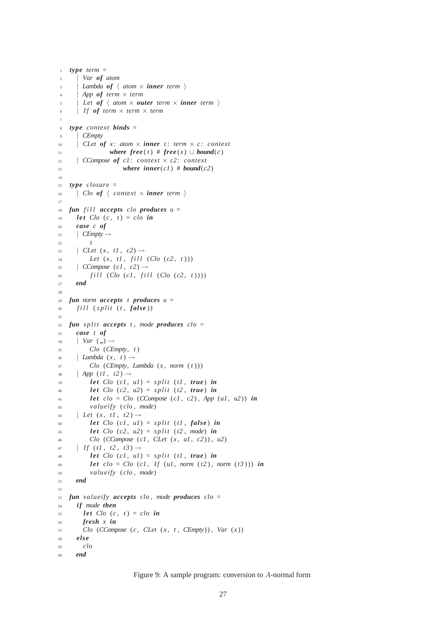```
1 type term =2 | Var of atom
       Lambda of \langle atom \times inner term \rangleApp of term \times termLet of \langle atom \times outer term \times inner term \rangle\vert If of term \times term \times term
 7
   8 type context binds =
9 | CEmpty
10 | CLet of x: atom \times inner t: term \times c: context
11 where free(t) # free(x) \cup bound(c)12 | CCompose of c1 : context × c2 : context
13 where inner(c1) # bound(c2)
14
15 type closure =
\begin{array}{c} \n\text{16} \\
\end{array} | Clo of \langle context \times inner term \rangle17
18 fun fill accepts clo produces u =19 let Clo (c, t) = clo in
20 case c of
_{21} CEmpty \rightarrow22 t
23 | CLet (x, t1, c2) \rightarrow24 Let (x, t1, \text{fill} (Clo (c2, t)))25 \vert CCompose (c1, c2) \rightarrow26 f i l l (Clo (c1 , f i l l (Clo (c2 , t )) ) )
27 end
28
29 fun norm accepts t produces u =30 f i l l ( s p li t (t , false ))
31
\int s split accepts t, mode produces clo =
33 case t of
34 | Var ( ) \rightarrow35 Clo (CEmpty, t )
\begin{array}{ccc} 36 & \text{I} \ \text{Lambda}(x, t) \rightarrow \end{array}37 Clo (CEmpty, Lambda (x , norm ( t )))
38 | App (t1, t2) \rightarrow39 let Clo (c1 , u1) = s p li t (t1 , true ) in
40 let Clo (c2, u2) = split (t2, true) in
41 let clo = Clo (CCompose (c1, c2), App (u1, u2)) in
42 valueify ( clo , mode)
43 | Let (x, t1, t2) \rightarrow44 let Clo (c1, ul) = split (t1, false) in
45 let Clo (c2, u2) = split (t2, mode) in
46 Clo (CCompose (c1 , CLet (x , u1 , c2 )) , u2)
47 | If (t1, t2, t3) \rightarrow48 let Clo (cl, ul) = split (tl, true) in
49 let clo = Clo (cl, If (ul, norm (t2), norm (t3))) in
50 valueify ( clo , mode)
51 end
52
53 fun valueify accepts clo , mode produces clo =
54 if mode then
1et Clo (c, t) = clo in
56 fresh x in
57 Clo (CCompose (c, CLet (x, t, CEmpty)), Var (x))
58 else
59 clo
60 end
```
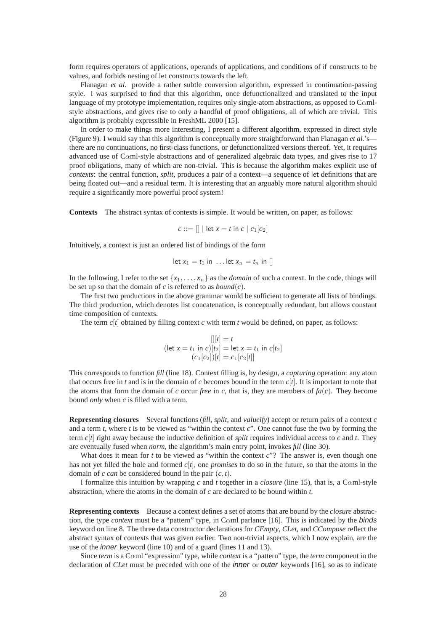form requires operators of applications, operands of applications, and conditions of if constructs to be values, and forbids nesting of let constructs towards the left.

Flanagan *et al.* provide a rather subtle conversion algorithm, expressed in continuation-passing style. I was surprised to find that this algorithm, once defunctionalized and translated to the input language of my prototype implementation, requires only single-atom abstractions, as opposed to C $\alpha$ mlstyle abstractions, and gives rise to only a handful of proof obligations, all of which are trivial. This algorithm is probably expressible in FreshML 2000 [15].

In order to make things more interesting, I present a different algorithm, expressed in direct style (Figure 9). I would say that this algorithm is conceptually more straightforward than Flanagan *et al.*'s there are no continuations, no first-class functions, or defunctionalized versions thereof. Yet, it requires advanced use of Cαml-style abstractions and of generalized algebraic data types, and gives rise to 17 proof obligations, many of which are non-trivial. This is because the algorithm makes explicit use of *contexts*: the central function, *split*, produces a pair of a context—a sequence of let definitions that are being floated out—and a residual term. It is interesting that an arguably more natural algorithm should require a significantly more powerful proof system!

**Contexts** The abstract syntax of contexts is simple. It would be written, on paper, as follows:

$$
c ::= [] | \det x = t \text{ in } c \mid c_1[c_2]
$$

Intuitively, a context is just an ordered list of bindings of the form

$$
let x_1 = t_1 in \dots let x_n = t_n in []
$$

In the following, I refer to the set  $\{x_1, \ldots, x_n\}$  as the *domain* of such a context. In the code, things will be set up so that the domain of *c* is referred to as  $bound(c)$ .

The first two productions in the above grammar would be sufficient to generate all lists of bindings. The third production, which denotes list concatenation, is conceptually redundant, but allows constant time composition of contexts.

The term  $c[t]$  obtained by filling context  $c$  with term  $t$  would be defined, on paper, as follows:

$$
[|t] = t
$$
  
(let  $x = t_1$  in  $c$ ) $[t_2]$  = let  $x = t_1$  in  $c[t_2]$   
 $(c_1[c_2])[t] = c_1[c_2[t]]$ 

This corresponds to function *fill* (line 18). Context filling is, by design, a *capturing* operation: any atom that occurs free in *t* and is in the domain of *c* becomes bound in the term *c*[*t*]. It is important to note that the atoms that form the domain of *c* occur *free* in *c*, that is, they are members of  $f_a(c)$ . They become bound *only* when *c* is filled with a term.

**Representing closures** Several functions (*fill*, *split*, and *valueify*) accept or return pairs of a context *c* and a term *t*, where *t* is to be viewed as "within the context *c*". One cannot fuse the two by forming the term *c*[*t*] right away because the inductive definition of *split* requires individual access to *c* and *t*. They are eventually fused when *norm*, the algorithm's main entry point, invokes *fill* (line 30).

What does it mean for *t* to be viewed as "within the context *c*"? The answer is, even though one has not yet filled the hole and formed *c*[*t*], one *promises* to do so in the future, so that the atoms in the domain of *c can* be considered bound in the pair (*c*, *t*).

I formalize this intuition by wrapping *c* and *t* together in a *closure* (line 15), that is, a Cαml-style abstraction, where the atoms in the domain of *c* are declared to be bound within *t*.

**Representing contexts** Because a context defines a set of atoms that are bound by the *closure* abstraction, the type *context* must be a "pattern" type, in Cαml parlance [16]. This is indicated by the binds keyword on line 8. The three data constructor declarations for *CEmpty*, *CLet*, and *CCompose* reflect the abstract syntax of contexts that was given earlier. Two non-trivial aspects, which I now explain, are the use of the inner keyword (line 10) and of a guard (lines 11 and 13).

Since *term* is a Cαml "expression" type, while *context* is a "pattern" type, the *term* component in the declaration of *CLet* must be preceded with one of the inner or outer keywords [16], so as to indicate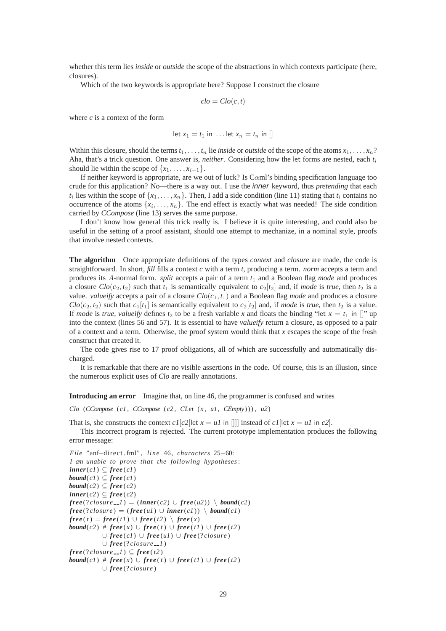whether this term lies *inside* or *outside* the scope of the abstractions in which contexts participate (here, closures).

Which of the two keywords is appropriate here? Suppose I construct the closure

$$
clo = Clo(c, t)
$$

where *c* is a context of the form

$$
let x_1 = t_1 in \dots let x_n = t_n in []
$$

Within this closure, should the terms  $t_1, \ldots, t_n$  lie *inside* or *outside* of the scope of the atoms  $x_1, \ldots, x_n$ ? Aha, that's a trick question. One answer is, *neither*. Considering how the let forms are nested, each *t*<sup>i</sup> should lie within the scope of  $\{x_1, \ldots, x_{i-1}\}.$ 

If neither keyword is appropriate, are we out of luck? Is  $C<sub>α</sub>$ ml's binding specification language too crude for this application? No—there is a way out. I use the inner keyword, thus *pretending* that each  $t_i$  lies within the scope of  $\{x_1, \ldots, x_n\}$ . Then, I add a side condition (line 11) stating that  $t_i$  contains no occurrence of the atoms  $\{x_i, \ldots, x_n\}$ . The end effect is exactly what was needed! The side condition carried by *CCompose* (line 13) serves the same purpose.

I don't know how general this trick really is. I believe it is quite interesting, and could also be useful in the setting of a proof assistant, should one attempt to mechanize, in a nominal style, proofs that involve nested contexts.

**The algorithm** Once appropriate definitions of the types *context* and *closure* are made, the code is straightforward. In short, *fill* fills a context *c* with a term *t*, producing a term. *norm* accepts a term and produces its A-normal form. *split* accepts a pair of a term *t*<sup>1</sup> and a Boolean flag *mode* and produces a closure  $Clo(c_2, t_2)$  such that  $t_1$  is semantically equivalent to  $c_2[t_2]$  and, if *mode* is *true*, then  $t_2$  is a value. *valueify* accepts a pair of a closure  $Clo(c_1, t_1)$  and a Boolean flag *mode* and produces a closure  $Clo(c_2, t_2)$  such that  $c_1[t_1]$  is semantically equivalent to  $c_2[t_2]$  and, if *mode* is *true*, then  $t_2$  is a value. If *mode* is *true*, *valueify* defines  $t_2$  to be a fresh variable *x* and floats the binding "let  $x = t_1$  in []" up into the context (lines 56 and 57). It is essential to have *valueify* return a closure, as opposed to a pair of a context and a term. Otherwise, the proof system would think that *x* escapes the scope of the fresh construct that created it.

The code gives rise to 17 proof obligations, all of which are successfully and automatically discharged.

It is remarkable that there are no visible assertions in the code. Of course, this is an illusion, since the numerous explicit uses of *Clo* are really annotations.

**Introducing an error** Imagine that, on line 46, the programmer is confused and writes

*Clo* (*CCompose* (*c1* , *CCompose* (*c2* , *CLet* (*x* , *u1*, *CEmpty*) )) , *u2*)

That is, she constructs the context  $cI[c2]$  let  $x = uI$  in []] instead of  $cI$  [let  $x = uI$  in  $c2$ ].

This incorrect program is rejected. The current prototype implementation produces the following error message:

*File* "anf−direct . fml" , *line* 46, *characters* 25−60: *I am unable to prove that the following hypotheses*:  $inner(c1) \subseteq free(c1)$ *bound*( $c1$ )  $\subseteq$   $free(c1)$ *bound*( $c2$ )  $\subseteq$   $free(c2)$  $inner(c2) \subseteq free(c2)$  $free$  (?*closure*  $-1$ ) = (*inner*(*c2*) ∪ *free*(*u2*)) \ *bound*(*c2*)  $free(?closure) = (free(u1) \cup inner(c1)) \setminus bound(c1)$  $free(t) = free(t1) \cup free(t2) \setminus free(x)$ *bound*(*c2*) #  $free(x) ∪ free(t) ∪ free(t1) ∪ free(t2)$ ∪ *free* (*c1*) ∪ *free* (*u1*) ∪ *free* (? *closure* ) ∪ *free* (? *closure 1* )  $free$  (?*closure*  $-1$ )  $\subseteq$   $free$  (*t*2) *bound*(*c1*) #  $free(x) ∪ free(t) ∪ free(t1) ∪ free(t2)$ ∪ *free* (? *closure* )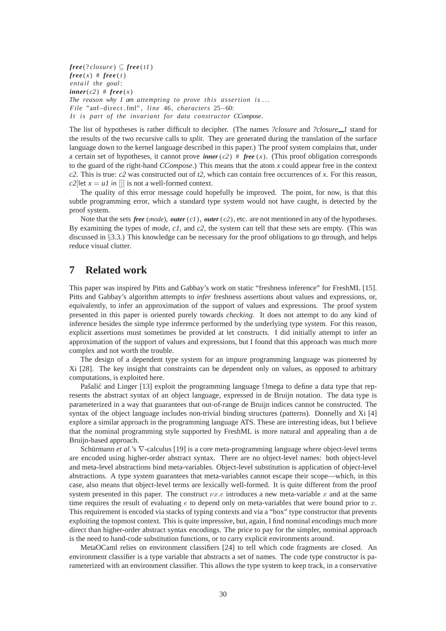$free$  (?*closure*)  $\subset$   $free$  (*t1*)  $free(x)$  #  $free(t)$ *entail the goal* :  $inner(c2)$  #  $free(x)$ *The reason why I am attempting to prove this assertion is* . . . *File* "anf−direct . fml" , *line* 46, *characters* 25−60: *I t is part of the invariant for data constructor CCompose*.

The list of hypotheses is rather difficult to decipher. (The names *?closure* and *?closure 1* stand for the results of the two recursive calls to *split*. They are generated during the translation of the surface language down to the kernel language described in this paper.) The proof system complains that, under a certain set of hypotheses, it cannot prove *inner*  $(c2)$  # *free*  $(x)$ . (This proof obligation corresponds to the guard of the right-hand *CCompose*.) This means that the atom *x* could appear free in the context *c2*. This is true: *c2* was constructed out of *t2*, which can contain free occurrences of *x*. For this reason, *c2*[let  $x = uI$  in []] is not a well-formed context.

The quality of this error message could hopefully be improved. The point, for now, is that this subtle programming error, which a standard type system would not have caught, is detected by the proof system.

Note that the sets *free* (*mode*), *outer* (*c1*), *outer* (*c2*), etc. are not mentioned in any of the hypotheses. By examining the types of *mode*, *c1*, and *c2*, the system can tell that these sets are empty. (This was discussed in §3.3.) This knowledge can be necessary for the proof obligations to go through, and helps reduce visual clutter.

# **7 Related work**

This paper was inspired by Pitts and Gabbay's work on static "freshness inference" for FreshML [15]. Pitts and Gabbay's algorithm attempts to *infer* freshness assertions about values and expressions, or, equivalently, to infer an approximation of the support of values and expressions. The proof system presented in this paper is oriented purely towards *checking*. It does not attempt to do any kind of inference besides the simple type inference performed by the underlying type system. For this reason, explicit assertions must sometimes be provided at let constructs. I did initially attempt to infer an approximation of the support of values and expressions, but I found that this approach was much more complex and not worth the trouble.

The design of a dependent type system for an impure programming language was pioneered by Xi [28]. The key insight that constraints can be dependent only on values, as opposed to arbitrary computations, is exploited here.

Pašalić and Linger [13] exploit the programming language Ωmega to define a data type that represents the abstract syntax of an object language, expressed in de Bruijn notation. The data type is parameterized in a way that guarantees that out-of-range de Bruijn indices cannot be constructed. The syntax of the object language includes non-trivial binding structures (patterns). Donnelly and Xi [4] explore a similar approach in the programming language ATS. These are interesting ideas, but I believe that the nominal programming style supported by FreshML is more natural and appealing than a de Bruijn-based approach.

Schürmann et al.'s ∇-calculus [19] is a core meta-programming language where object-level terms are encoded using higher-order abstract syntax. There are no object-level names: both object-level and meta-level abstractions bind meta-variables. Object-level substitution is application of object-level abstractions. A type system guarantees that meta-variables cannot escape their scope—which, in this case, also means that object-level terms are lexically well-formed. It is quite different from the proof system presented in this paper. The construct  $\nu x.e$  introduces a new meta-variable x and at the same time requires the result of evaluating  $e$  to depend only on meta-variables that were bound prior to  $x$ . This requirement is encoded via stacks of typing contexts and via a "box" type constructor that prevents exploiting the topmost context. This is quite impressive, but, again, I find nominal encodings much more direct than higher-order abstract syntax encodings. The price to pay for the simpler, nominal approach is the need to hand-code substitution functions, or to carry explicit environments around.

MetaOCaml relies on environment classifiers [24] to tell which code fragments are closed. An environment classifier is a type variable that abstracts a set of names. The code type constructor is parameterized with an environment classifier. This allows the type system to keep track, in a conservative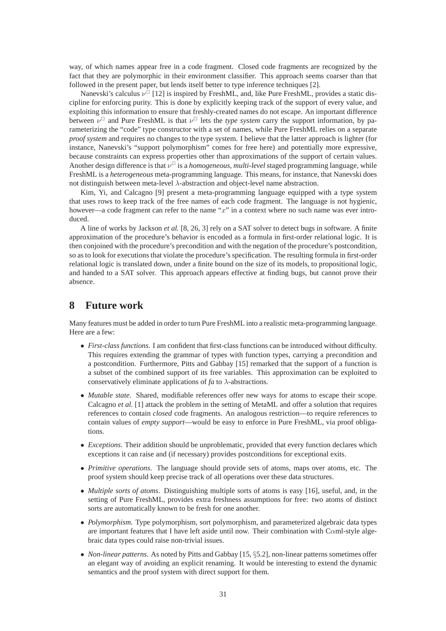way, of which names appear free in a code fragment. Closed code fragments are recognized by the fact that they are polymorphic in their environment classifier. This approach seems coarser than that followed in the present paper, but lends itself better to type inference techniques [2].

Nanevski's calculus  $\nu^{\square}$  [12] is inspired by FreshML, and, like Pure FreshML, provides a static discipline for enforcing purity. This is done by explicitly keeping track of the support of every value, and exploiting this information to ensure that freshly-created names do not escape. An important difference between  $\nu^{\square}$  and Pure FreshML is that  $\nu^{\square}$  lets the *type system* carry the support information, by parameterizing the "code" type constructor with a set of names, while Pure FreshML relies on a separate *proof system* and requires no changes to the type system. I believe that the latter approach is lighter (for instance, Nanevski's "support polymorphism" comes for free here) and potentially more expressive, because constraints can express properties other than approximations of the support of certain values. Another design difference is that  $\nu^{\square}$  is a *homogeneous, multi-level* staged programming language, while FreshML is a *heterogeneous* meta-programming language. This means, for instance, that Nanevski does not distinguish between meta-level λ-abstraction and object-level name abstraction.

Kim, Yi, and Calcagno [9] present a meta-programming language equipped with a type system that uses rows to keep track of the free names of each code fragment. The language is not hygienic, however—a code fragment can refer to the name " $x$ " in a context where no such name was ever introduced.

A line of works by Jackson *et al.* [8, 26, 3] rely on a SAT solver to detect bugs in software. A finite approximation of the procedure's behavior is encoded as a formula in first-order relational logic. It is then conjoined with the procedure's precondition and with the negation of the procedure's postcondition, so as to look for executions that violate the procedure's specification. The resulting formula in first-order relational logic is translated down, under a finite bound on the size of its models, to propositional logic, and handed to a SAT solver. This approach appears effective at finding bugs, but cannot prove their absence.

# **8 Future work**

Many features must be added in order to turn Pure FreshML into a realistic meta-programming language. Here are a few:

- *First-class functions*. I am confident that first-class functions can be introduced without difficulty. This requires extending the grammar of types with function types, carrying a precondition and a postcondition. Furthermore, Pitts and Gabbay [15] remarked that the support of a function is a subset of the combined support of its free variables. This approximation can be exploited to conservatively eliminate applications of *fa* to λ-abstractions.
- *Mutable state*. Shared, modifiable references offer new ways for atoms to escape their scope. Calcagno *et al.* [1] attack the problem in the setting of MetaML and offer a solution that requires references to contain *closed* code fragments. An analogous restriction—to require references to contain values of *empty support*—would be easy to enforce in Pure FreshML, via proof obligations.
- *Exceptions*. Their addition should be unproblematic, provided that every function declares which exceptions it can raise and (if necessary) provides postconditions for exceptional exits.
- *Primitive operations*. The language should provide sets of atoms, maps over atoms, etc. The proof system should keep precise track of all operations over these data structures.
- *Multiple sorts of atoms*. Distinguishing multiple sorts of atoms is easy [16], useful, and, in the setting of Pure FreshML, provides extra freshness assumptions for free: two atoms of distinct sorts are automatically known to be fresh for one another.
- *Polymorphism*. Type polymorphism, sort polymorphism, and parameterized algebraic data types are important features that I have left aside until now. Their combination with C $\alpha$ ml-style algebraic data types could raise non-trivial issues.
- *Non-linear patterns*. As noted by Pitts and Gabbay [15, §5.2], non-linear patterns sometimes offer an elegant way of avoiding an explicit renaming. It would be interesting to extend the dynamic semantics and the proof system with direct support for them.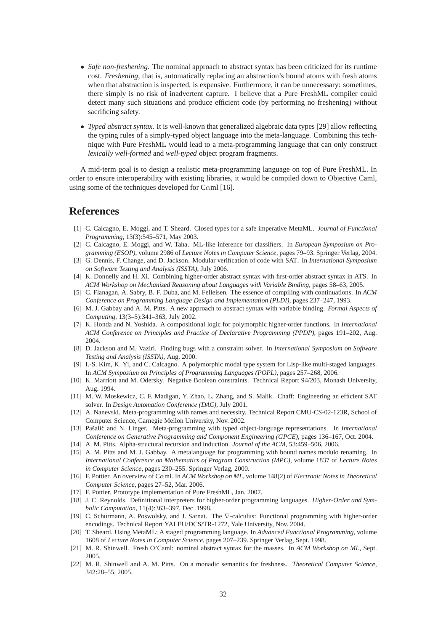- *Safe non-freshening*. The nominal approach to abstract syntax has been criticized for its runtime cost. *Freshening*, that is, automatically replacing an abstraction's bound atoms with fresh atoms when that abstraction is inspected, is expensive. Furthermore, it can be unnecessary: sometimes, there simply is no risk of inadvertent capture. I believe that a Pure FreshML compiler could detect many such situations and produce efficient code (by performing no freshening) without sacrificing safety.
- *Typed abstract syntax*. It is well-known that generalized algebraic data types [29] allow reflecting the typing rules of a simply-typed object language into the meta-language. Combining this technique with Pure FreshML would lead to a meta-programming language that can only construct *lexically well-formed* and *well-typed* object program fragments.

A mid-term goal is to design a realistic meta-programming language on top of Pure FreshML. In order to ensure interoperability with existing libraries, it would be compiled down to Objective Caml, using some of the techniques developed for C $\alpha$ ml [16].

# **References**

- [1] C. Calcagno, E. Moggi, and T. Sheard. Closed types for a safe imperative MetaML. *Journal of Functional Programming*, 13(3):545–571, May 2003.
- [2] C. Calcagno, E. Moggi, and W. Taha. ML-like inference for classifiers. In *European Symposium on Programming (ESOP)*, volume 2986 of *Lecture Notes in Computer Science*, pages 79–93. Springer Verlag, 2004.
- [3] G. Dennis, F. Change, and D. Jackson. Modular verification of code with SAT. In *International Symposium on Software Testing and Analysis (ISSTA)*, July 2006.
- [4] K. Donnelly and H. Xi. Combining higher-order abstract syntax with first-order abstract syntax in ATS. In *ACM Workshop on Mechanized Reasoning about Languages with Variable Binding*, pages 58–63, 2005.
- [5] C. Flanagan, A. Sabry, B. F. Duba, and M. Felleisen. The essence of compiling with continuations. In *ACM Conference on Programming Language Design and Implementation (PLDI)*, pages 237–247, 1993.
- [6] M. J. Gabbay and A. M. Pitts. A new approach to abstract syntax with variable binding. *Formal Aspects of Computing*, 13(3–5):341–363, July 2002.
- [7] K. Honda and N. Yoshida. A compositional logic for polymorphic higher-order functions. In *International ACM Conference on Principles and Practice of Declarative Programming (PPDP)*, pages 191–202, Aug. 2004.
- [8] D. Jackson and M. Vaziri. Finding bugs with a constraint solver. In *International Symposium on Software Testing and Analysis (ISSTA)*, Aug. 2000.
- [9] I.-S. Kim, K. Yi, and C. Calcagno. A polymorphic modal type system for Lisp-like multi-staged languages. In *ACM Symposium on Principles of Programming Languages (POPL)*, pages 257–268, 2006.
- [10] K. Marriott and M. Odersky. Negative Boolean constraints. Technical Report 94/203, Monash University, Aug. 1994.
- [11] M. W. Moskewicz, C. F. Madigan, Y. Zhao, L. Zhang, and S. Malik. Chaff: Engineering an efficient SAT solver. In *Design Automation Conference (DAC)*, July 2001.
- [12] A. Nanevski. Meta-programming with names and necessity. Technical Report CMU-CS-02-123R, School of Computer Science, Carnegie Mellon University, Nov. 2002.
- [13] Pašalić and N. Linger. Meta-programming with typed object-language representations. In *International Conference on Generative Programming and Component Engineering (GPCE)*, pages 136–167, Oct. 2004.
- [14] A. M. Pitts. Alpha-structural recursion and induction. *Journal of the ACM*, 53:459–506, 2006.
- [15] A. M. Pitts and M. J. Gabbay. A metalanguage for programming with bound names modulo renaming. In *International Conference on Mathematics of Program Construction (MPC)*, volume 1837 of *Lecture Notes in Computer Science*, pages 230–255. Springer Verlag, 2000.
- [16] F. Pottier. An overview of Cαml. In *ACM Workshop on ML*, volume 148(2) of *Electronic Notes in Theoretical Computer Science*, pages 27–52, Mar. 2006.
- [17] F. Pottier. Prototype implementation of Pure FreshML, Jan. 2007.
- [18] J. C. Reynolds. Definitional interpreters for higher-order programming languages. *Higher-Order and Symbolic Computation*, 11(4):363–397, Dec. 1998.
- [19] C. Schürmann, A. Poswolsky, and J. Sarnat. The  $\nabla$ -calculus: Functional programming with higher-order encodings. Technical Report YALEU/DCS/TR-1272, Yale University, Nov. 2004.
- [20] T. Sheard. Using MetaML: A staged programming language. In *Advanced Functional Programming*, volume 1608 of *Lecture Notes in Computer Science*, pages 207–239. Springer Verlag, Sept. 1998.
- [21] M. R. Shinwell. Fresh O'Caml: nominal abstract syntax for the masses. In *ACM Workshop on ML*, Sept. 2005.
- [22] M. R. Shinwell and A. M. Pitts. On a monadic semantics for freshness. *Theoretical Computer Science*, 342:28–55, 2005.